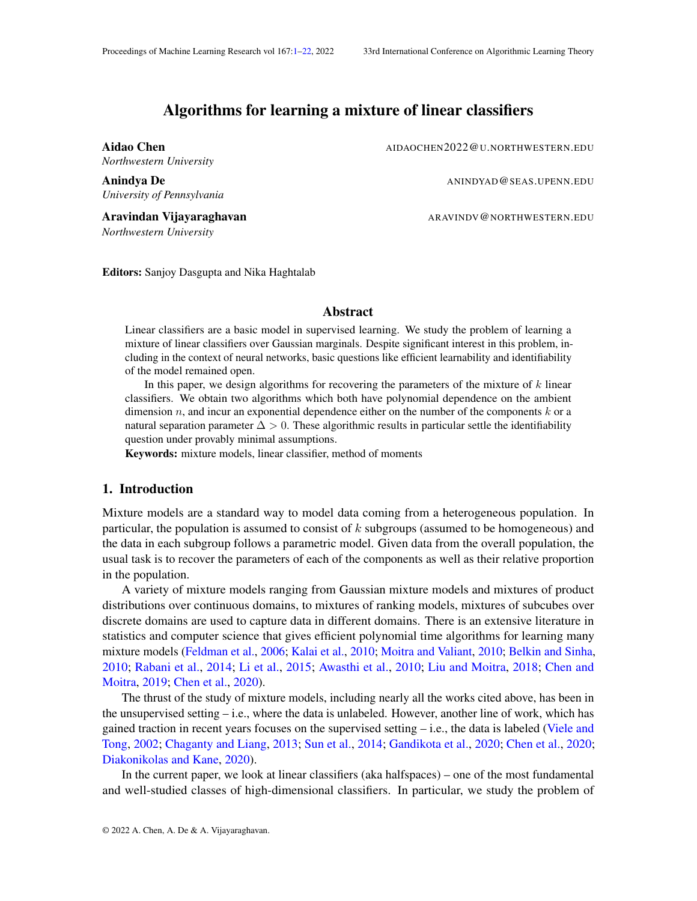# Algorithms for learning a mixture of linear classifiers

*Northwestern University*

*University of Pennsylvania*

*Northwestern University*

<span id="page-0-0"></span>Aidao Chen **AIDAOCHEN2022@U.NORTHWESTERN.EDU** 

Anindya De ANINDYAD@SEAS.UPENN.EDU

Aravindan Vijayaraghavan ARAVINDV@NORTHWESTERN.EDU

Editors: Sanjoy Dasgupta and Nika Haghtalab

#### Abstract

Linear classifiers are a basic model in supervised learning. We study the problem of learning a mixture of linear classifiers over Gaussian marginals. Despite significant interest in this problem, including in the context of neural networks, basic questions like efficient learnability and identifiability of the model remained open.

In this paper, we design algorithms for recovering the parameters of the mixture of  $k$  linear classifiers. We obtain two algorithms which both have polynomial dependence on the ambient dimension  $n$ , and incur an exponential dependence either on the number of the components  $k$  or a natural separation parameter  $\Delta > 0$ . These algorithmic results in particular settle the identifiability question under provably minimal assumptions.

Keywords: mixture models, linear classifier, method of moments

# 1. Introduction

Mixture models are a standard way to model data coming from a heterogeneous population. In particular, the population is assumed to consist of  $k$  subgroups (assumed to be homogeneous) and the data in each subgroup follows a parametric model. Given data from the overall population, the usual task is to recover the parameters of each of the components as well as their relative proportion in the population.

A variety of mixture models ranging from Gaussian mixture models and mixtures of product distributions over continuous domains, to mixtures of ranking models, mixtures of subcubes over discrete domains are used to capture data in different domains. There is an extensive literature in statistics and computer science that gives efficient polynomial time algorithms for learning many mixture models [\(Feldman et al.,](#page-19-0) [2006;](#page-19-0) [Kalai et al.,](#page-19-1) [2010;](#page-19-1) [Moitra and Valiant,](#page-20-0) [2010;](#page-20-0) [Belkin and Sinha,](#page-18-0) [2010;](#page-18-0) [Rabani et al.,](#page-20-1) [2014;](#page-20-1) [Li et al.,](#page-19-2) [2015;](#page-19-2) [Awasthi et al.,](#page-18-1) [2010;](#page-18-1) [Liu and Moitra,](#page-20-2) [2018;](#page-20-2) [Chen and](#page-18-2) [Moitra,](#page-18-2) [2019;](#page-18-2) [Chen et al.,](#page-19-3) [2020\)](#page-19-3).

The thrust of the study of mixture models, including nearly all the works cited above, has been in the unsupervised setting – i.e., where the data is unlabeled. However, another line of work, which has gained traction in recent years focuses on the supervised setting  $-$  i.e., the data is labeled [\(Viele and](#page-20-3) [Tong,](#page-20-3) [2002;](#page-20-3) [Chaganty and Liang,](#page-18-3) [2013;](#page-18-3) [Sun et al.,](#page-20-4) [2014;](#page-20-4) [Gandikota et al.,](#page-19-4) [2020;](#page-19-4) [Chen et al.,](#page-19-3) [2020;](#page-19-3) [Diakonikolas and Kane,](#page-19-5) [2020\)](#page-19-5).

In the current paper, we look at linear classifiers (aka halfspaces) – one of the most fundamental and well-studied classes of high-dimensional classifiers. In particular, we study the problem of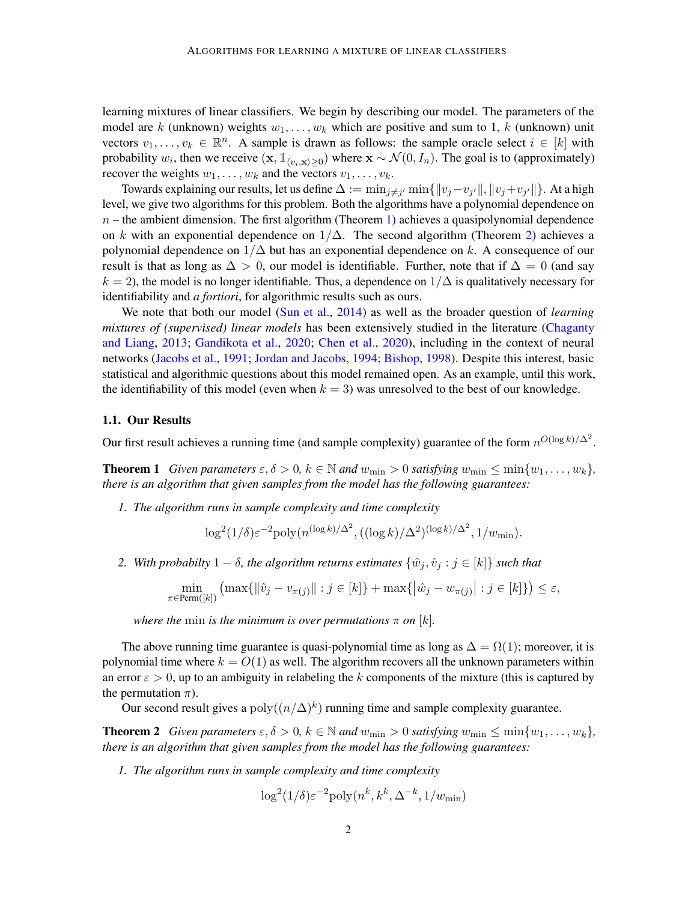learning mixtures of linear classifiers. We begin by describing our model. The parameters of the model are k (unknown) weights  $w_1, \ldots, w_k$  which are positive and sum to 1, k (unknown) unit vectors  $v_1, \ldots, v_k \in \mathbb{R}^n$ . A sample is drawn as follows: the sample oracle select  $i \in [k]$  with probability  $w_i$ , then we receive  $(\mathbf{x}, \mathbb{1}_{\langle v_i, \mathbf{x} \rangle \geq 0})$  where  $\mathbf{x} \sim \mathcal{N}(0, I_n)$ . The goal is to (approximately) recover the weights  $w_1, \ldots, w_k$  and the vectors  $v_1, \ldots, v_k$ .

Towards explaining our results, let us define  $\Delta := \min_{j \neq j'} \min \{||v_j - v_{j'}||, ||v_j + v_{j'}||\}$ . At a high level, we give two algorithms for this problem. Both the algorithms have a polynomial dependence on  $n -$  the ambient dimension. The first algorithm (Theorem [1\)](#page-11-0) achieves a quasipolynomial dependence on k with an exponential dependence on  $1/\Delta$ . The second algorithm (Theorem [2\)](#page-11-1) achieves a polynomial dependence on  $1/\Delta$  but has an exponential dependence on k. A consequence of our result is that as long as  $\Delta > 0$ , our model is identifiable. Further, note that if  $\Delta = 0$  (and say  $k = 2$ ), the model is no longer identifiable. Thus, a dependence on  $1/\Delta$  is qualitatively necessary for identifiability and *a fortiori*, for algorithmic results such as ours.

We note that both our model [\(Sun et al.,](#page-20-4) [2014\)](#page-20-4) as well as the broader question of *learning mixtures of (supervised) linear models* has been extensively studied in the literature [\(Chaganty](#page-18-3) [and Liang,](#page-18-3) [2013;](#page-18-3) [Gandikota et al.,](#page-19-4) [2020;](#page-19-4) [Chen et al.,](#page-19-3) [2020\)](#page-19-3), including in the context of neural networks [\(Jacobs et al.,](#page-19-6) [1991;](#page-19-6) [Jordan and Jacobs,](#page-19-7) [1994;](#page-19-7) [Bishop,](#page-18-4) [1998\)](#page-18-4). Despite this interest, basic statistical and algorithmic questions about this model remained open. As an example, until this work, the identifiability of this model (even when  $k = 3$ ) was unresolved to the best of our knowledge.

#### 1.1. Our Results

Our first result achieves a running time (and sample complexity) guarantee of the form  $n^{O(\log k)/\Delta^2}$ .

**Theorem 1** *Given parameters*  $\varepsilon, \delta > 0$ ,  $k \in \mathbb{N}$  *and*  $w_{\min} > 0$  *satisfying*  $w_{\min} \leq \min\{w_1, \ldots, w_k\}$ , *there is an algorithm that given samples from the model has the following guarantees:*

*1. The algorithm runs in sample complexity and time complexity*

$$
\log^2(1/\delta) \varepsilon^{-2} \text{poly}(n^{(\log k)/\Delta^2}, ((\log k)/\Delta^2)^{(\log k)/\Delta^2}, 1/w_{\min}).
$$

*2. With probabilty*  $1 - \delta$ *, the algorithm returns estimates*  $\{\hat{w}_i, \hat{v}_j : j \in [k]\}$  *such that* 

$$
\min_{\pi \in \text{Perm}([k])} \left( \max \{ \|\hat{v}_j - v_{\pi(j)}\| : j \in [k] \} + \max \{ \left| \hat{w}_j - w_{\pi(j)} \right| : j \in [k] \} \right) \le \varepsilon,
$$

*where the* min *is the minimum is over permutations*  $\pi$  *on* [k].

The above running time guarantee is quasi-polynomial time as long as  $\Delta = \Omega(1)$ ; moreover, it is polynomial time where  $k = O(1)$  as well. The algorithm recovers all the unknown parameters within an error  $\varepsilon > 0$ , up to an ambiguity in relabeling the k components of the mixture (this is captured by the permutation  $\pi$ ).

Our second result gives a  $poly((n/\Delta)^k)$  running time and sample complexity guarantee.

**Theorem 2** *Given parameters*  $\varepsilon, \delta > 0$ ,  $k \in \mathbb{N}$  *and*  $w_{\min} > 0$  *satisfying*  $w_{\min} \leq \min\{w_1, \ldots, w_k\}$ , *there is an algorithm that given samples from the model has the following guarantees:*

*1. The algorithm runs in sample complexity and time complexity*

$$
\log^2(1/\delta) \varepsilon^{-2} \text{poly}(n^k, k^k, \Delta^{-k}, 1/w_{\text{min}})
$$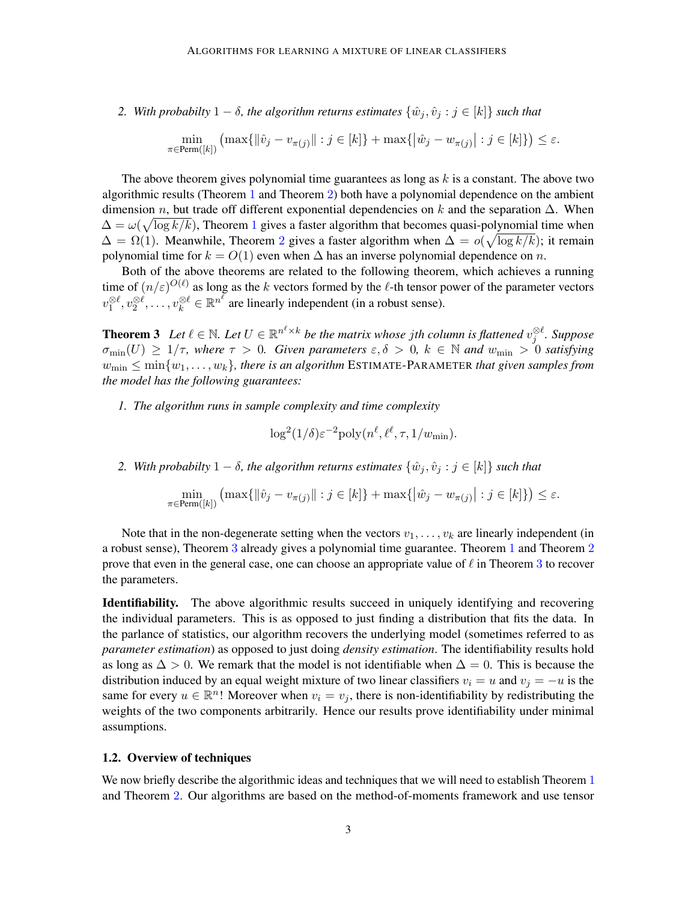*2. With probabilty*  $1 - \delta$ *, the algorithm returns estimates*  $\{\hat{w}_j, \hat{v}_j : j \in [k]\}$  *such that* 

$$
\min_{\pi \in {\sf Perm}([k])} \left( \max \{ \|\hat{v}_j - v_{\pi(j)}\| : j \in [k] \} + \max \{ \left|\hat{w}_j - w_{\pi(j)}\right| : j \in [k] \} \right) \leq \varepsilon.
$$

The above theorem gives polynomial time guarantees as long as  $k$  is a constant. The above two algorithmic results (Theorem [1](#page-11-0) and Theorem [2](#page-11-1)) both have a polynomial dependence on the ambient dimension n, but trade off different exponential dependencies on k and the separation  $\Delta$ . When  $\Delta = \omega(\sqrt{\log k/k})$ , Theorem [1](#page-11-0) gives a faster algorithm that becomes quasi-polynomial time when  $\Delta = \Omega(1)$ . Meanwhile, Theorem [2](#page-11-1) gives a faster algorithm when  $\Delta = o(\sqrt{\log k/k})$ ; it remain polynomial time for  $k = O(1)$  even when  $\Delta$  has an inverse polynomial dependence on n.

Both of the above theorems are related to the following theorem, which achieves a running time of  $(n/\varepsilon)^{O(\ell)}$  as long as the k vectors formed by the  $\ell$ -th tensor power of the parameter vectors  $v_1^{\otimes \ell}, v_2^{\otimes \ell}, \ldots, v_k^{\otimes \ell} \in \mathbb{R}^{n^{\ell}}$  are linearly independent (in a robust sense).

**Theorem 3** Let  $\ell \in \mathbb{N}$ . Let  $U \in \mathbb{R}^{n^{\ell} \times k}$  be the matrix whose jth column is flattened  $v_j^{\otimes \ell}$ . Suppose  $\sigma_{\min}(U) \geq 1/\tau$ , where  $\tau > 0$ . Given parameters  $\varepsilon, \delta > 0$ ,  $k \in \mathbb{N}$  and  $w_{\min} > 0$  satisfying  $w_{\min} \leq \min\{w_1, \ldots, w_k\}$ , there is an algorithm ESTIMATE-PARAMETER that given samples from *the model has the following guarantees:*

*1. The algorithm runs in sample complexity and time complexity*

$$
\log^2(1/\delta) \varepsilon^{-2} \mathrm{poly}(n^{\ell}, \ell^{\ell}, \tau, 1/w_{\min}).
$$

*2. With probabilty*  $1 - \delta$ *, the algorithm returns estimates*  $\{\hat{w}_i, \hat{v}_j : j \in [k]\}$  *such that* 

$$
\min_{\pi \in \text{Perm}([k])} (\max \{ \|\hat{v}_j - v_{\pi(j)}\| : j \in [k] \} + \max \{ |\hat{w}_j - w_{\pi(j)}| : j \in [k] \} ) \le \varepsilon.
$$

Note that in the non-degenerate setting when the vectors  $v_1, \ldots, v_k$  are linearly independent (in a robust sense), Theorem [3](#page-15-0) already gives a polynomial time guarantee. Theorem [1](#page-11-0) and Theorem [2](#page-11-1) prove that even in the general case, one can choose an appropriate value of  $\ell$  in Theorem [3](#page-15-0) to recover the parameters.

**Identifiability.** The above algorithmic results succeed in uniquely identifying and recovering the individual parameters. This is as opposed to just finding a distribution that fits the data. In the parlance of statistics, our algorithm recovers the underlying model (sometimes referred to as *parameter estimation*) as opposed to just doing *density estimation*. The identifiability results hold as long as  $\Delta > 0$ . We remark that the model is not identifiable when  $\Delta = 0$ . This is because the distribution induced by an equal weight mixture of two linear classifiers  $v_i = u$  and  $v_j = -u$  is the same for every  $u \in \mathbb{R}^n$ ! Moreover when  $v_i = v_j$ , there is non-identifiability by redistributing the weights of the two components arbitrarily. Hence our results prove identifiability under minimal assumptions.

#### 1.2. Overview of techniques

We now briefly describe the algorithmic ideas and techniques that we will need to establish Theorem [1](#page-11-0) and Theorem [2](#page-11-1). Our algorithms are based on the method-of-moments framework and use tensor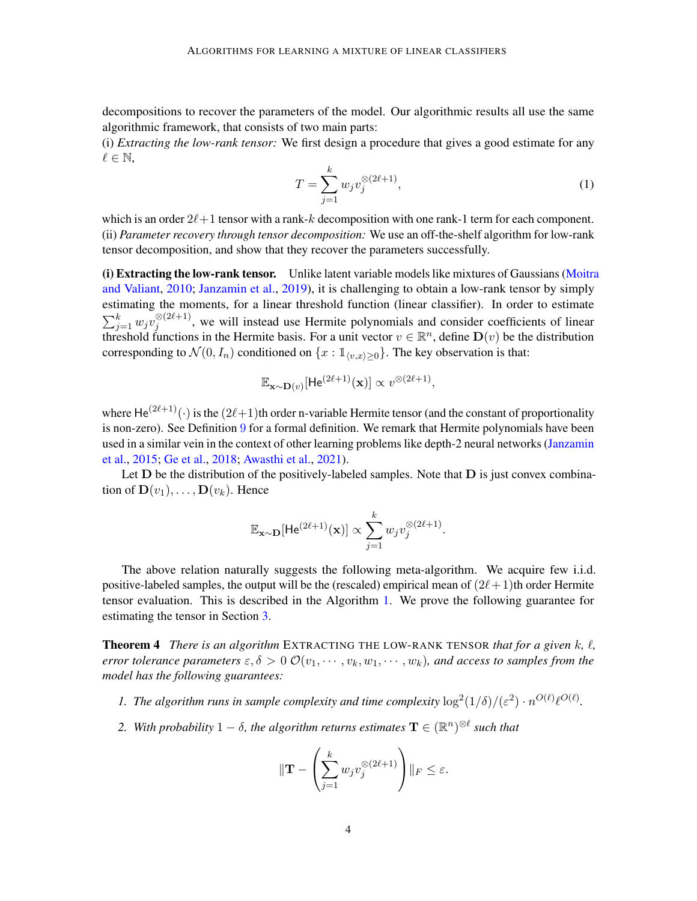decompositions to recover the parameters of the model. Our algorithmic results all use the same algorithmic framework, that consists of two main parts:

(i) *Extracting the low-rank tensor:* We first design a procedure that gives a good estimate for any  $\ell \in \mathbb{N},$ 

<span id="page-3-0"></span>
$$
T = \sum_{j=1}^{k} w_j v_j^{\otimes (2\ell+1)},
$$
 (1)

which is an order  $2\ell+1$  tensor with a rank-k decomposition with one rank-1 term for each component. (ii) *Parameter recovery through tensor decomposition:* We use an off-the-shelf algorithm for low-rank tensor decomposition, and show that they recover the parameters successfully.

(i) Extracting the low-rank tensor. Unlike latent variable models like mixtures of Gaussians [\(Moitra](#page-20-0) [and Valiant,](#page-20-0) [2010;](#page-20-0) [Janzamin et al.,](#page-19-8) [2019\)](#page-19-8), it is challenging to obtain a low-rank tensor by simply estimating the moments, for a linear threshold function (linear classifier). In order to estimate  $\sum_{j=1}^k w_jv_j^{\otimes(2\ell+1)}$  $j_j^{(2\ell+1)}$ , we will instead use Hermite polynomials and consider coefficients of linear threshold functions in the Hermite basis. For a unit vector  $v \in \mathbb{R}^n$ , define  $\mathbf{D}(v)$  be the distribution corresponding to  $\mathcal{N}(0, I_n)$  conditioned on  $\{x : \mathbb{I}_{\langle v,x\rangle>0}\}$ . The key observation is that:

$$
\mathbb{E}_{\mathbf{x}\sim\mathbf{D}(v)}[\mathsf{He}^{(2\ell+1)}(\mathbf{x})] \propto v^{\otimes (2\ell+1)},
$$

where He<sup>(2ℓ+1)</sup>(·) is the (2ℓ+1)th order n-variable Hermite tensor (and the constant of proportionality is non-zero). See Definition [9](#page-5-0) for a formal definition. We remark that Hermite polynomials have been used in a similar vein in the context of other learning problems like depth-2 neural networks [\(Janzamin](#page-19-9) [et al.,](#page-19-9) [2015;](#page-19-9) [Ge et al.,](#page-19-10) [2018;](#page-19-10) [Awasthi et al.,](#page-18-5) [2021\)](#page-18-5).

Let  $D$  be the distribution of the positively-labeled samples. Note that  $D$  is just convex combination of  $\mathbf{D}(v_1), \ldots, \mathbf{D}(v_k)$ . Hence

$$
\mathbb{E}_{\mathbf{x}\sim\mathbf{D}}[\mathsf{He}^{(2\ell+1)}(\mathbf{x})]\propto \sum_{j=1}^k w_j v_j^{\otimes (2\ell+1)}.
$$

The above relation naturally suggests the following meta-algorithm. We acquire few i.i.d. positive-labeled samples, the output will be the (rescaled) empirical mean of  $(2\ell+1)$ th order Hermite tensor evaluation. This is described in the Algorithm [1.](#page-6-0) We prove the following guarantee for estimating the tensor in Section [3.](#page-6-1)

Theorem 4 *There is an algorithm* EXTRACTING THE LOW-RANK TENSOR *that for a given* k*,* ℓ*, error tolerance parameters*  $\varepsilon, \delta > 0$   $\mathcal{O}(v_1, \dots, v_k, w_1, \dots, w_k)$ , and access to samples from the *model has the following guarantees:*

- *1.* The algorithm runs in sample complexity and time complexity  $\log^2(1/\delta)/(\varepsilon^2) \cdot n^{O(\ell)} \ell^{O(\ell)}$ .
- 2. With probability  $1 \delta$ , the algorithm returns estimates  $\mathbf{T} \in (\mathbb{R}^n)^{\otimes \ell}$  such that

$$
\|\mathbf{T} - \left(\sum_{j=1}^k w_j v_j^{\otimes (2\ell+1)}\right)\|_F \le \varepsilon.
$$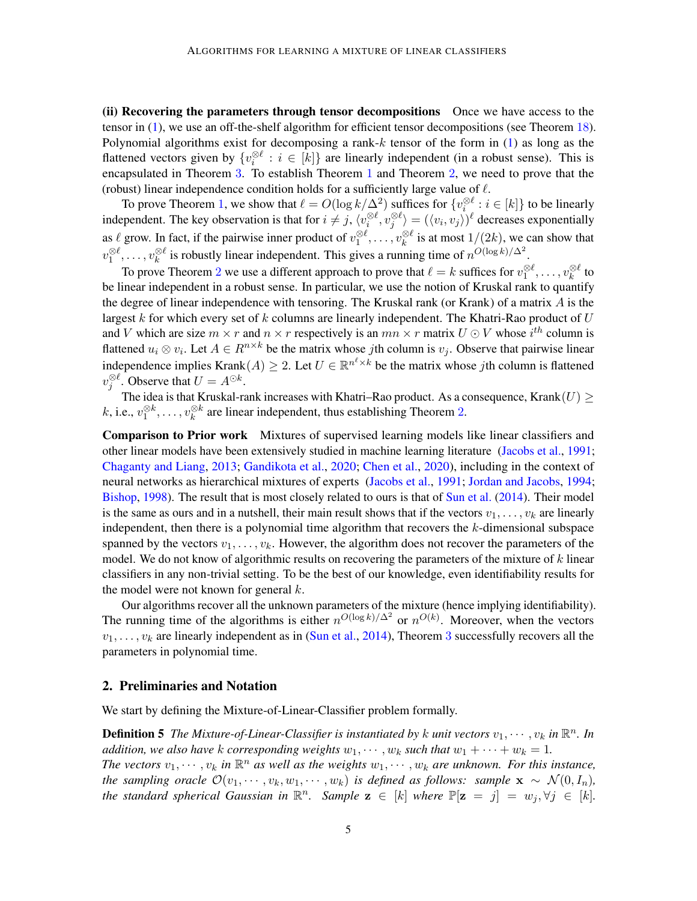(ii) Recovering the parameters through tensor decompositions Once we have access to the tensor in [\(1\)](#page-3-0), we use an off-the-shelf algorithm for efficient tensor decompositions (see Theorem [18](#page-12-0)). Polynomial algorithms exist for decomposing a rank- $k$  tensor of the form in [\(1\)](#page-3-0) as long as the flattened vectors given by  $\{v_i^{\otimes \ell} : i \in [k]\}$  are linearly independent (in a robust sense). This is encapsulated in Theorem [3](#page-15-0). To establish Theorem [1](#page-11-0) and Theorem [2](#page-11-1), we need to prove that the (robust) linear independence condition holds for a sufficiently large value of  $\ell$ .

To prove Theorem [1](#page-11-0), we show that  $\ell = O(\log k/\Delta^2)$  suffices for  $\{v_i^{\otimes \ell} : i \in [k]\}$  to be linearly independent. The key observation is that for  $i \neq j$ ,  $\langle v_i^{\otimes \ell}, v_j^{\otimes \ell} \rangle = (\langle v_i, v_j \rangle)^{\ell}$  decreases exponentially independent. as  $\ell$  grow. In fact, if the pairwise inner product of  $v_1^{\otimes \ell}, \ldots, v_k^{\otimes \ell}$  is at most  $1/(2k)$ , we can show that  $v_1^{\otimes \ell}, \ldots, v_k^{\otimes \ell}$  is robustly linear independent. This gives a running time of  $n^{O(\log k)/\Delta^2}$ .

To prove Theorem [2](#page-11-1) we use a different approach to prove that  $\ell = k$  suffices for  $v_1^{\otimes \ell}, \ldots, v_k^{\otimes \ell}$  to be linear independent in a robust sense. In particular, we use the notion of Kruskal rank to quantify the degree of linear independence with tensoring. The Kruskal rank (or Krank) of a matrix  $\vec{A}$  is the largest  $k$  for which every set of  $k$  columns are linearly independent. The Khatri-Rao product of  $U$ and V which are size  $m \times r$  and  $n \times r$  respectively is an  $mn \times r$  matrix  $U \odot V$  whose  $i^{th}$  column is flattened  $u_i \otimes v_i$ . Let  $A \in R^{n \times k}$  be the matrix whose jth column is  $v_j$ . Observe that pairwise linear independence implies Krank $(A) \geq 2$ . Let  $U \in \mathbb{R}^{n^{\ell} \times k}$  be the matrix whose jth column is flattened  $v_j^{\otimes \ell}$ . Observe that  $U = A^{\odot k}$ .

The idea is that Kruskal-rank increases with Khatri–Rao product. As a consequence, Krank $(U) \geq$ k, i.e.,  $v_1^{\otimes k}, \ldots, v_k^{\otimes k}$  are linear independent, thus establishing Theorem [2](#page-11-1).

Comparison to Prior work Mixtures of supervised learning models like linear classifiers and other linear models have been extensively studied in machine learning literature [\(Jacobs et al.,](#page-19-6) [1991;](#page-19-6) [Chaganty and Liang,](#page-18-3) [2013;](#page-18-3) [Gandikota et al.,](#page-19-4) [2020;](#page-19-4) [Chen et al.,](#page-19-3) [2020\)](#page-19-3), including in the context of neural networks as hierarchical mixtures of experts [\(Jacobs et al.,](#page-19-6) [1991;](#page-19-6) [Jordan and Jacobs,](#page-19-7) [1994;](#page-19-7) [Bishop,](#page-18-4) [1998\)](#page-18-4). The result that is most closely related to ours is that of [Sun et al.](#page-20-4) [\(2014\)](#page-20-4). Their model is the same as ours and in a nutshell, their main result shows that if the vectors  $v_1, \ldots, v_k$  are linearly independent, then there is a polynomial time algorithm that recovers the  $k$ -dimensional subspace spanned by the vectors  $v_1, \ldots, v_k$ . However, the algorithm does not recover the parameters of the model. We do not know of algorithmic results on recovering the parameters of the mixture of  $k$  linear classifiers in any non-trivial setting. To be the best of our knowledge, even identifiability results for the model were not known for general  $k$ .

Our algorithms recover all the unknown parameters of the mixture (hence implying identifiability). The running time of the algorithms is either  $n^{O(\log k)/\Delta^2}$  or  $n^{O(k)}$ . Moreover, when the vectors  $v_1, \ldots, v_k$  are linearly independent as in [\(Sun et al.,](#page-20-4) [2014\)](#page-20-4), Theorem [3](#page-15-0) successfully recovers all the parameters in polynomial time.

#### 2. Preliminaries and Notation

We start by defining the Mixture-of-Linear-Classifier problem formally.

**Definition 5** The Mixture-of-Linear-Classifier is instantiated by k unit vectors  $v_1, \dots, v_k$  in  $\mathbb{R}^n$ . In *addition, we also have k corresponding weights*  $w_1, \dots, w_k$  *such that*  $w_1 + \dots + w_k = 1$ *.* The vectors  $v_1, \dots, v_k$  in  $\mathbb{R}^n$  as well as the weights  $w_1, \dots, w_k$  are unknown. For this instance, *the sampling oracle*  $\mathcal{O}(v_1, \dots, v_k, w_1, \dots, w_k)$  *is defined as follows: sample*  $\mathbf{x} \sim \mathcal{N}(0, I_n)$ *,* the standard spherical Gaussian in  $\mathbb{R}^n$ . Sample  $\mathbf{z} \in [k]$  where  $\mathbb{P}[\mathbf{z} = j] = w_j, \forall j \in [k]$ .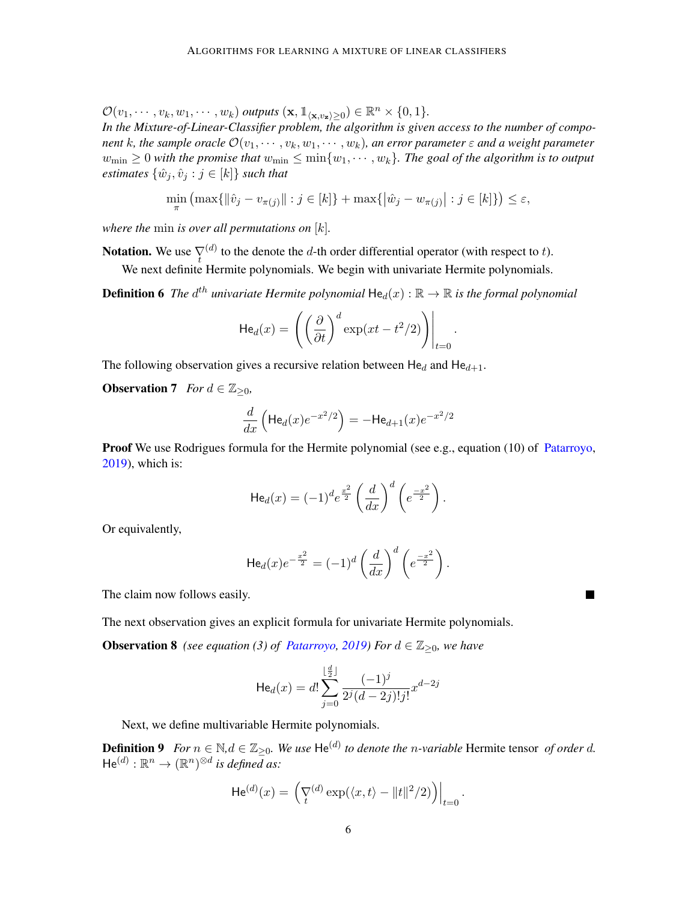$\mathcal{O}(v_1, \dots, v_k, w_1, \dots, w_k)$  *outputs*  $(\mathbf{x}, \mathbb{1}_{\langle \mathbf{x}, v_{\mathbf{z}} \rangle \geq 0}) \in \mathbb{R}^n \times \{0, 1\}.$ 

*In the Mixture-of-Linear-Classifier problem, the algorithm is given access to the number of component* k, the sample oracle  $\mathcal{O}(v_1, \dots, v_k, w_1, \dots, w_k)$ , an error parameter  $\varepsilon$  and a weight parameter  $w_{\min} \geq 0$  with the promise that  $w_{\min} \leq \min\{w_1, \cdots, w_k\}$ . The goal of the algorithm is to output *estimates*  $\{\hat{w}_j, \hat{v}_j : j \in [k]\}$  *such that* 

$$
\min_{\pi} \left( \max \{ \|\hat{v}_j - v_{\pi(j)}\| : j \in [k] \} + \max \{ |\hat{w}_j - w_{\pi(j)}| : j \in [k] \} \right) \le \varepsilon,
$$

*where the* min *is over all permutations on* [k]*.*

**Notation.** We use  $\sum_{t}$  $(d)$  to the denote the d-th order differential operator (with respect to t).

We next definite Hermite polynomials. We begin with univariate Hermite polynomials.

**Definition 6** The  $d^{th}$  univariate Hermite polynomial  $\text{He}_d(x) : \mathbb{R} \to \mathbb{R}$  is the formal polynomial

$$
\mathsf{He}_{d}(x) = \left( \left( \frac{\partial}{\partial t} \right)^{d} \exp(xt - t^{2}/2) \right) \Big|_{t=0}
$$

<span id="page-5-1"></span>.

The following observation gives a recursive relation between  $\text{He}_d$  and  $\text{He}_{d+1}$ .

**Observation 7** *For*  $d \in \mathbb{Z}_{\geq 0}$ *,* 

$$
\frac{d}{dx}\left(\text{He}_d(x)e^{-x^2/2}\right) = -\text{He}_{d+1}(x)e^{-x^2/2}
$$

**Proof** We use Rodrigues formula for the Hermite polynomial (see e.g., equation (10) of [Patarroyo,](#page-20-5) [2019\)](#page-20-5), which is:

$$
\mathsf{He}_d(x) = (-1)^d e^{\frac{x^2}{2}} \left( \frac{d}{dx} \right)^d \left( e^{\frac{-x^2}{2}} \right).
$$

Or equivalently,

$$
\text{He}_{d}(x)e^{-\frac{x^{2}}{2}} = (-1)^{d} \left(\frac{d}{dx}\right)^{d} \left(e^{\frac{-x^{2}}{2}}\right).
$$

The claim now follows easily.

The next observation gives an explicit formula for univariate Hermite polynomials.

**Observation 8** *(see equation (3) of [Patarroyo,](#page-20-5) [2019\)](#page-20-5) For*  $d \in \mathbb{Z}_{\geq 0}$ *, we have* 

<span id="page-5-0"></span>
$$
\text{He}_d(x) = d! \sum_{j=0}^{\lfloor \frac{d}{2} \rfloor} \frac{(-1)^j}{2^j (d-2j)! j!} x^{d-2j}
$$

Next, we define multivariable Hermite polynomials.

**Definition 9** For  $n \in \mathbb{N}$ ,  $d \in \mathbb{Z}_{\geq 0}$ . We use He<sup>(d)</sup> to denote the *n*-variable Hermite tensor *of order d*.  $\text{He}^{(d)} : \mathbb{R}^n \to (\mathbb{R}^n)^{\otimes d}$  is defined as:

$$
\mathsf{He}^{(d)}(x) = \left. \left( \nabla_t^{(d)} \exp(\langle x, t \rangle - \|t\|^2 / 2) \right) \right|_{t=0}.
$$

<span id="page-5-2"></span>П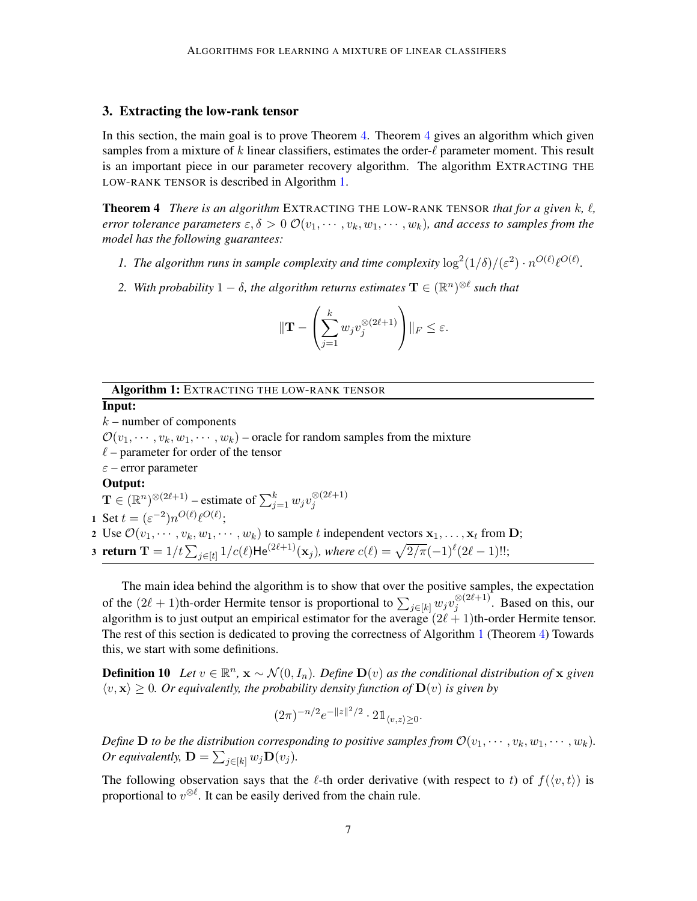# <span id="page-6-1"></span>3. Extracting the low-rank tensor

In this section, the main goal is to prove Theorem [4](#page-6-2). Theorem 4 gives an algorithm which given samples from a mixture of k linear classifiers, estimates the order- $\ell$  parameter moment. This result is an important piece in our parameter recovery algorithm. The algorithm EXTRACTING THE LOW-RANK TENSOR is described in Algorithm [1.](#page-6-0)

<span id="page-6-2"></span>Theorem 4 *There is an algorithm* EXTRACTING THE LOW-RANK TENSOR *that for a given* k*,* ℓ*, error tolerance parameters*  $\varepsilon, \delta > 0$   $\mathcal{O}(v_1, \dots, v_k, w_1, \dots, w_k)$ , and access to samples from the *model has the following guarantees:*

- *1.* The algorithm runs in sample complexity and time complexity  $\log^2(1/\delta)/(\varepsilon^2) \cdot n^{O(\ell)} \ell^{O(\ell)}$ .
- 2. With probability  $1 \delta$ , the algorithm returns estimates  $\mathbf{T} \in (\mathbb{R}^n)^{\otimes \ell}$  such that

$$
\|\mathbf{T} - \left(\sum_{j=1}^k w_j v_j^{\otimes (2\ell+1)}\right)\|_F \le \varepsilon.
$$

<span id="page-6-0"></span>Algorithm 1: EXTRACTING THE LOW-RANK TENSOR

#### Input:

 $k$  – number of components  $\mathcal{O}(v_1, \dots, v_k, w_1, \dots, w_k)$  – oracle for random samples from the mixture  $\ell$  – parameter for order of the tensor  $\varepsilon$  – error parameter Output:  $\mathbf{T} \in (\mathbb{R}^n)^{\otimes (2\ell+1)}$  – estimate of  $\sum_{j=1}^k w_j v_j^{\otimes (2\ell+1)}$ j 1 Set  $t = (\varepsilon^{-2}) n^{O(\ell)} \ell^{O(\ell)}$ ; 2 Use  $\mathcal{O}(v_1, \dots, v_k, w_1, \dots, w_k)$  to sample t independent vectors  $\mathbf{x}_1, \dots, \mathbf{x}_t$  from  $\mathbf{D}$ ; 3 return  $\mathbf{T}=1/t\sum_{j\in[t]}1/c(\ell)$ He $^{(2\ell+1)}(\mathbf{x}_j)$ *, where*  $c(\ell)=\sqrt{2/\pi}(-1)^{\ell}(2\ell-1)!!;$ 

The main idea behind the algorithm is to show that over the positive samples, the expectation of the  $(2\ell + 1)$ th-order Hermite tensor is proportional to  $\sum_{j \in [k]} w_j v_j^{\otimes (2\ell+1)}$  $j^{(2\ell+1)}$ . Based on this, our algorithm is to just output an empirical estimator for the average  $(2\ell + 1)$ th-order Hermite tensor. The rest of this section is dedicated to proving the correctness of Algorithm [1](#page-6-0) (Theorem [4](#page-6-2)) Towards this, we start with some definitions.

**Definition 10** Let  $v \in \mathbb{R}^n$ ,  $\mathbf{x} \sim \mathcal{N}(0, I_n)$ . Define  $\mathbf{D}(v)$  as the conditional distribution of  $\mathbf{x}$  given  $\langle v, \mathbf{x} \rangle \geq 0$ . Or equivalently, the probability density function of  $\mathbf{D}(v)$  is given by

<span id="page-6-4"></span><span id="page-6-3"></span>
$$
(2\pi)^{-n/2}e^{-\|z\|^2/2} \cdot 2\mathbb{1}_{\langle v,z\rangle\geq 0}.
$$

*Define* **D** *to be the distribution corresponding to positive samples from*  $\mathcal{O}(v_1, \dots, v_k, w_1, \dots, w_k)$ *. Or equivalently,*  $\mathbf{D} = \sum_{j \in [k]} w_j \mathbf{D}(v_j)$ *.* 

The following observation says that the  $\ell$ -th order derivative (with respect to t) of  $f(\langle v, t \rangle)$  is proportional to  $v^{\otimes \ell}$ . It can be easily derived from the chain rule.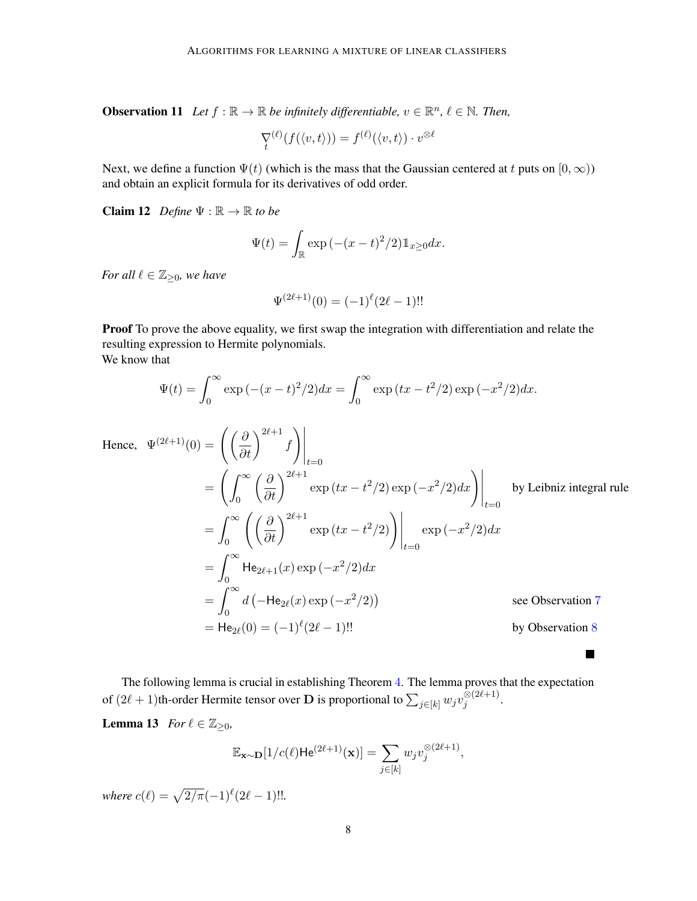**Observation 11** Let  $f : \mathbb{R} \to \mathbb{R}$  be infinitely differentiable,  $v \in \mathbb{R}^n$ ,  $\ell \in \mathbb{N}$ . Then,

$$
\nabla_t^{(\ell)}(f(\langle v,t\rangle)) = f^{(\ell)}(\langle v,t\rangle) \cdot v^{\otimes \ell}
$$

Next, we define a function  $\Psi(t)$  (which is the mass that the Gaussian centered at t puts on  $[0, \infty)$ ) and obtain an explicit formula for its derivatives of odd order.

<span id="page-7-0"></span>**Claim 12** *Define*  $\Psi : \mathbb{R} \to \mathbb{R}$  *to be* 

$$
\Psi(t) = \int_{\mathbb{R}} \exp(-(x-t)^2/2) \mathbb{1}_{x \ge 0} dx.
$$

*For all*  $\ell \in \mathbb{Z}_{\geq 0}$ *, we have* 

$$
\Psi^{(2\ell+1)}(0) = (-1)^{\ell} (2\ell - 1)!!
$$

Proof To prove the above equality, we first swap the integration with differentiation and relate the resulting expression to Hermite polynomials. We know that

$$
\Psi(t) = \int_0^\infty \exp(-(x-t)^2/2) dx = \int_0^\infty \exp(tx - t^2/2) \exp(-x^2/2) dx.
$$

Hence, 
$$
\Psi^{(2\ell+1)}(0) = \left( \left( \frac{\partial}{\partial t} \right)^{2\ell+1} f \right) \Big|_{t=0}
$$
  
\n
$$
= \left( \int_0^\infty \left( \frac{\partial}{\partial t} \right)^{2\ell+1} \exp\left( tx - t^2/2 \right) \exp\left( -x^2/2 \right) dx \right) \Big|_{t=0} \text{ by Leibniz integral rule}
$$
  
\n
$$
= \int_0^\infty \left( \left( \frac{\partial}{\partial t} \right)^{2\ell+1} \exp\left( tx - t^2/2 \right) \right) \Big|_{t=0} \exp\left( -x^2/2 \right) dx
$$
  
\n
$$
= \int_0^\infty \text{He}_{2\ell+1}(x) \exp\left( -x^2/2 \right) dx
$$
  
\n
$$
= \int_0^\infty d \left( -\text{He}_{2\ell}(x) \exp\left( -x^2/2 \right) \right) \text{ see observation 7}
$$
  
\n
$$
= \text{He}_{2\ell}(0) = (-1)^{\ell} (2\ell - 1)!! \text{ by observation 8}
$$

<span id="page-7-1"></span> $\blacksquare$ 

The following lemma is crucial in establishing Theorem [4](#page-6-2). The lemma proves that the expectation of  $(2\ell+1)$ th-order Hermite tensor over  ${\bf D}$  is proportional to  $\sum_{j\in[k]} w_jv_j^{\otimes(2\ell+1)}$  $\frac{\otimes (2\ell+1)}{j}$ .

**Lemma 13** *For*  $\ell \in \mathbb{Z}_{\geq 0}$ *,* 

$$
\mathbb{E}_{\mathbf{x}\sim\mathbf{D}}[1/c(\ell)\mathsf{He}^{(2\ell+1)}(\mathbf{x})] = \sum_{j\in[k]} w_j v_j^{\otimes (2\ell+1)},
$$

*where*  $c(\ell) = \sqrt{2/\pi}(-1)^{\ell}(2\ell - 1)!!$ .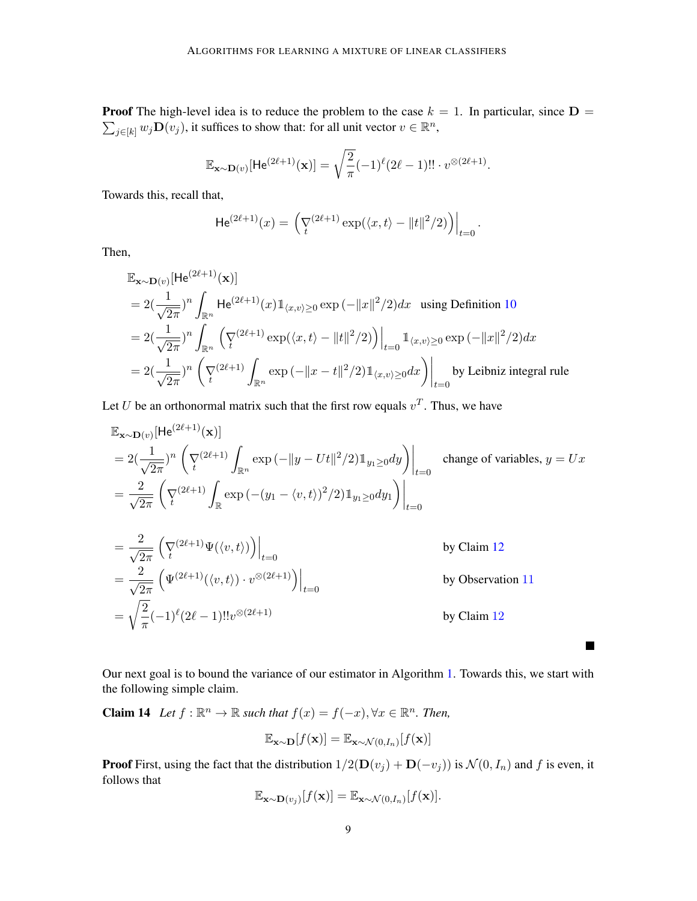**Proof** The high-level idea is to reduce the problem to the case  $k = 1$ . In particular, since  $D =$  $\sum_{j \in [k]} w_j \mathbf{D}(v_j)$ , it suffices to show that: for all unit vector  $v \in \mathbb{R}^n$ ,

$$
\mathbb{E}_{\mathbf{x}\sim\mathbf{D}(v)}[\mathsf{He}^{(2\ell+1)}(\mathbf{x})] = \sqrt{\frac{2}{\pi}}(-1)^{\ell}(2\ell-1)!!\cdot v^{\otimes(2\ell+1)}.
$$

Towards this, recall that,

$$
He^{(2\ell+1)}(x) = \left. \left( \nabla_t^{(2\ell+1)} \exp(\langle x, t \rangle - ||t||^2 / 2) \right) \right|_{t=0}
$$

.

 $\blacksquare$ 

Then,

$$
\mathbb{E}_{\mathbf{x}\sim\mathbf{D}(v)}[\text{He}^{(2\ell+1)}(\mathbf{x})]
$$
\n
$$
= 2\left(\frac{1}{\sqrt{2\pi}}\right)^n \int_{\mathbb{R}^n} \text{He}^{(2\ell+1)}(x) \mathbb{1}_{\langle x,v\rangle \ge 0} \exp(-||x||^2/2) dx \quad \text{using Definition 10}
$$
\n
$$
= 2\left(\frac{1}{\sqrt{2\pi}}\right)^n \int_{\mathbb{R}^n} \left(\nabla_t^{(2\ell+1)} \exp(\langle x,t\rangle - ||t||^2/2)\right) \Big|_{t=0} \mathbb{1}_{\langle x,v\rangle \ge 0} \exp(-||x||^2/2) dx
$$
\n
$$
= 2\left(\frac{1}{\sqrt{2\pi}}\right)^n \left(\nabla_t^{(2\ell+1)} \int_{\mathbb{R}^n} \exp(-||x-t||^2/2) \mathbb{1}_{\langle x,v\rangle \ge 0} dx\right) \Big|_{t=0} \text{ by Leibniz integral rule}
$$

Let U be an orthonormal matrix such that the first row equals  $v^T$ . Thus, we have

$$
\mathbb{E}_{\mathbf{x}\sim\mathbf{D}(v)}[\text{He}^{(2\ell+1)}(\mathbf{x})]
$$
\n
$$
= 2\left(\frac{1}{\sqrt{2\pi}}\right)^n \left(\nabla_t^{(2\ell+1)} \int_{\mathbb{R}^n} \exp(-\|y - Ut\|^2/2) \mathbb{1}_{y_1 \ge 0} dy\right)\Big|_{t=0} \text{ change of variables, } y = Ux
$$
\n
$$
= \frac{2}{\sqrt{2\pi}} \left(\nabla_t^{(2\ell+1)} \int_{\mathbb{R}} \exp(-(y_1 - \langle v, t \rangle)^2/2) \mathbb{1}_{y_1 \ge 0} dy_1\right)\Big|_{t=0}
$$
\n
$$
= \frac{2}{\sqrt{2\pi}} \left(\nabla_t^{(2\ell+1)} \Psi(\langle v, t \rangle) \right)\Big|_{t=0} \text{ by Claim 12}
$$
\n
$$
= \frac{2}{\sqrt{2\pi}} \left(\Psi^{(2\ell+1)}(\langle v, t \rangle) \cdot v^{\otimes (2\ell+1)}\right)\Big|_{t=0} \text{ by observation 11}
$$
\n
$$
= \sqrt{\frac{2}{\pi}} (-1)^{\ell} (2\ell - 1)!! v^{\otimes (2\ell+1)} \text{ by Claim 12}
$$

Our next goal is to bound the variance of our estimator in Algorithm [1.](#page-6-0) Towards this, we start with the following simple claim.

**Claim 14** Let  $f : \mathbb{R}^n \to \mathbb{R}$  such that  $f(x) = f(-x), \forall x \in \mathbb{R}^n$ . Then,

<span id="page-8-0"></span>
$$
\mathbb{E}_{\mathbf{x}\sim\mathbf{D}}[f(\mathbf{x})] = \mathbb{E}_{\mathbf{x}\sim\mathcal{N}(0,I_n)}[f(\mathbf{x})]
$$

**Proof** First, using the fact that the distribution  $1/2(\mathbf{D}(v_j) + \mathbf{D}(-v_j))$  is  $\mathcal{N}(0, I_n)$  and f is even, it follows that

$$
\mathbb{E}_{\mathbf{x}\sim\mathbf{D}(v_j)}[f(\mathbf{x})] = \mathbb{E}_{\mathbf{x}\sim\mathcal{N}(0,I_n)}[f(\mathbf{x})].
$$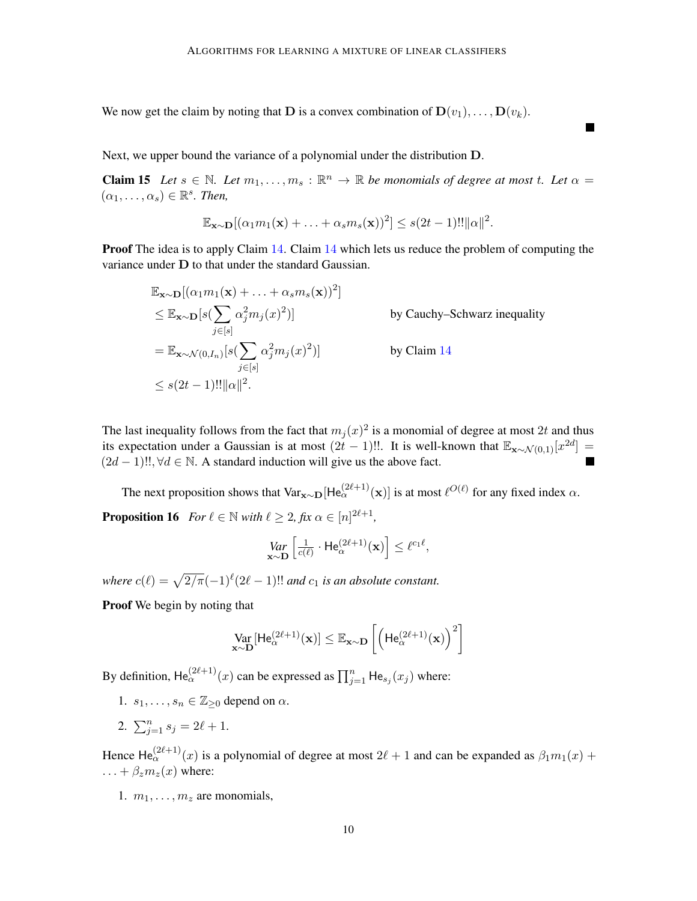We now get the claim by noting that **D** is a convex combination of  $\mathbf{D}(v_1), \ldots, \mathbf{D}(v_k)$ .

Next, we upper bound the variance of a polynomial under the distribution D.

**Claim 15** Let  $s \in \mathbb{N}$ . Let  $m_1, \ldots, m_s : \mathbb{R}^n \to \mathbb{R}$  be monomials of degree at most t. Let  $\alpha =$  $(\alpha_1, \ldots, \alpha_s) \in \mathbb{R}^s$ . Then,

<span id="page-9-0"></span>
$$
\mathbb{E}_{\mathbf{x}\sim\mathbf{D}}[(\alpha_1m_1(\mathbf{x})+\ldots+\alpha_sm_s(\mathbf{x}))^2]\leq s(2t-1)!!\|\alpha\|^2.
$$

**Proof** The idea is to apply Claim [14](#page-8-0). Claim 14 which lets us reduce the problem of computing the variance under D to that under the standard Gaussian.

$$
\mathbb{E}_{\mathbf{x}\sim\mathbf{D}}[(\alpha_1 m_1(\mathbf{x}) + \dots + \alpha_s m_s(\mathbf{x}))^2]
$$
\n
$$
\leq \mathbb{E}_{\mathbf{x}\sim\mathbf{D}}[s(\sum_{j\in[s]} \alpha_j^2 m_j(x)^2)] \qquad \text{by Cauchy-Schwarz inequality}
$$
\n
$$
= \mathbb{E}_{\mathbf{x}\sim\mathcal{N}(0,I_n)}[s(\sum_{j\in[s]} \alpha_j^2 m_j(x)^2)] \qquad \text{by Claim 14}
$$
\n
$$
\leq s(2t-1)!! \|\alpha\|^2.
$$

The last inequality follows from the fact that  $m_j(x)^2$  is a monomial of degree at most 2t and thus its expectation under a Gaussian is at most  $(2t-1)$ !!. It is well-known that  $\mathbb{E}_{\mathbf{x}\sim\mathcal{N}(0,1)}[x^{2d}] =$  $(2d-1)!!$ ,  $\forall d \in \mathbb{N}$ . A standard induction will give us the above fact. **T** 

The next proposition shows that  $\text{Var}_{\mathbf{x} \sim \mathbf{D}}[\text{He}_{\alpha}^{(2\ell+1)}(\mathbf{x})]$  is at most  $\ell^{O(\ell)}$  for any fixed index  $\alpha$ . **Proposition 16** *For*  $\ell \in \mathbb{N}$  *with*  $\ell \geq 2$ *, fix*  $\alpha \in [n]^{2\ell+1}$ *,* 

<span id="page-9-1"></span>
$$
\lim_{\mathbf{x}\sim\mathbf{D}}\left[\tfrac{1}{c(\ell)}\cdot\mathsf{He}^{(2\ell+1)}_{\alpha}(\mathbf{x})\right] \leq \ell^{c_1\ell},
$$

*where*  $c(\ell) = \sqrt{2/\pi}(-1)^{\ell}(2\ell - 1)!!$  *and*  $c_1$  *is an absolute constant.* 

**Proof** We begin by noting that

$$
\underset{\mathbf{x} \sim \mathbf{D}}{\text{Var}}[ \mathsf{He}_{\alpha}^{(2\ell+1)}(\mathbf{x}) ] \leq \mathbb{E}_{\mathbf{x} \sim \mathbf{D}}\left[\left(\mathsf{He}_{\alpha}^{(2\ell+1)}(\mathbf{x})\right)^2\right]
$$

By definition,  $\mathsf{He}^{(2\ell+1)}_{\alpha}(x)$  can be expressed as  $\prod_{j=1}^{n} \mathsf{He}_{s_j}(x_j)$  where:

- 1.  $s_1, \ldots, s_n \in \mathbb{Z}_{\geq 0}$  depend on  $\alpha$ .
- 2.  $\sum_{j=1}^{n} s_j = 2\ell + 1$ .

Hence He $_{\alpha}^{(2\ell+1)}(x)$  is a polynomial of degree at most  $2\ell+1$  and can be expanded as  $\beta_1 m_1(x)$  +  $\ldots + \beta_z m_z(x)$  where:

1.  $m_1, \ldots, m_z$  are monomials,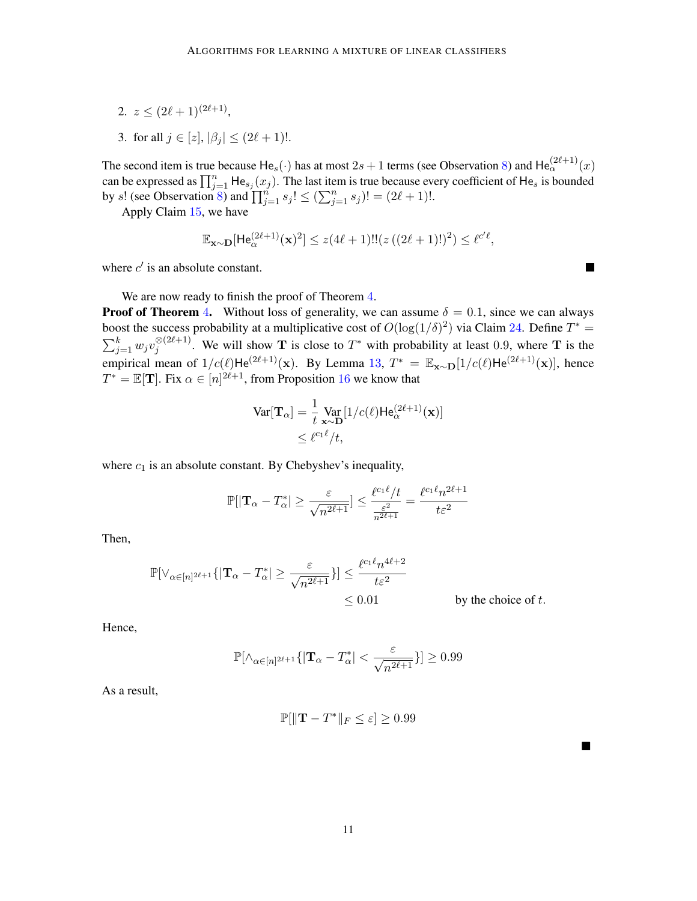- 2.  $z \leq (2\ell+1)^{(2\ell+1)},$
- 3. for all  $j \in [z], |\beta_j| \le (2\ell + 1)!$ .

The second item is true because  $He_s(\cdot)$  has at most  $2s+1$  terms (see Observation [8](#page-5-2)) and  $He_\alpha^{(2\ell+1)}(x)$ can be expressed as  $\prod_{j=1}^n$  He<sub>sj</sub> $(x_j)$ . The last item is true because every coefficient of He<sub>s</sub> is bounded by s! (see Observation [8](#page-5-2)) and  $\prod_{j=1}^{n} s_j! \leq (\sum_{j=1}^{n} s_j)! = (2\ell + 1)!$ .

Apply Claim [15](#page-9-0), we have

$$
\mathbb{E}_{\mathbf{x}\sim\mathbf{D}}[\mathsf{He}_{\alpha}^{(2\ell+1)}(\mathbf{x})^2] \le z(4\ell+1)!!(z((2\ell+1)!)^2) \le \ell^{c'\ell},
$$

where  $c'$  is an absolute constant.

We are now ready to finish the proof of Theorem [4](#page-6-2).

**Proof of Theorem [4](#page-6-2).** Without loss of generality, we can assume  $\delta = 0.1$ , since we can always boost the success probability at a multiplicative cost of  $O(\log(1/\delta)^2)$  via Claim [24](#page-20-6). Define  $T^* =$  $\sum_{j=1}^k w_j v_j^{\otimes (2\ell+1)}$ . We will show T is close to  $T^*$  with probability at least 0.9, where T is the j empirical mean of  $1/c(\ell)$ He<sup>(2 $\ell+1$ </sup>)(x). By Lemma [13](#page-7-1),  $T^* = \mathbb{E}_{\mathbf{x} \sim \mathbf{D}}[1/c(\ell)$ He<sup>(2 $\ell+1$ </sup>)(x)], hence  $T^* = \mathbb{E}[T]$ . Fix  $\alpha \in [n]^{2\ell+1}$ , from Proposition [16](#page-9-1) we know that

$$
\operatorname{Var}[\mathbf{T}_{\alpha}] = \frac{1}{t} \operatorname*{Var}_{\mathbf{x} \sim \mathbf{D}}[1/c(\ell) \mathsf{He}_{\alpha}^{(2\ell+1)}(\mathbf{x})]
$$

$$
\leq \ell^{c_1 \ell}/t,
$$

where  $c_1$  is an absolute constant. By Chebyshev's inequality,

$$
\mathbb{P}[|\mathbf{T}_{\alpha} - T_{\alpha}^*| \ge \frac{\varepsilon}{\sqrt{n^{2\ell+1}}}] \le \frac{\ell^{c_1 \ell}/t}{\frac{\varepsilon^2}{n^{2\ell+1}}} = \frac{\ell^{c_1 \ell} n^{2\ell+1}}{t \varepsilon^2}
$$

Then,

$$
\mathbb{P}[\vee_{\alpha\in[n]^{2\ell+1}}\{|\mathbf{T}_{\alpha}-T_{\alpha}^*|\geq \frac{\varepsilon}{\sqrt{n^{2\ell+1}}}\}] \leq \frac{\ell^{c_1\ell}n^{4\ell+2}}{t\varepsilon^2}
$$
\n
$$
\leq 0.01
$$
 by the choice of  $t$ .

Hence,

$$
\mathbb{P}[\wedge_{\alpha\in[n]^{2\ell+1}}\{|\mathbf{T}_{\alpha}-T_{\alpha}^*|<\frac{\varepsilon}{\sqrt{n^{2\ell+1}}}\}] \geq 0.99
$$

As a result,

$$
\mathbb{P}[\|\mathbf{T} - T^*\|_F \le \varepsilon] \ge 0.99
$$

■

**Talent**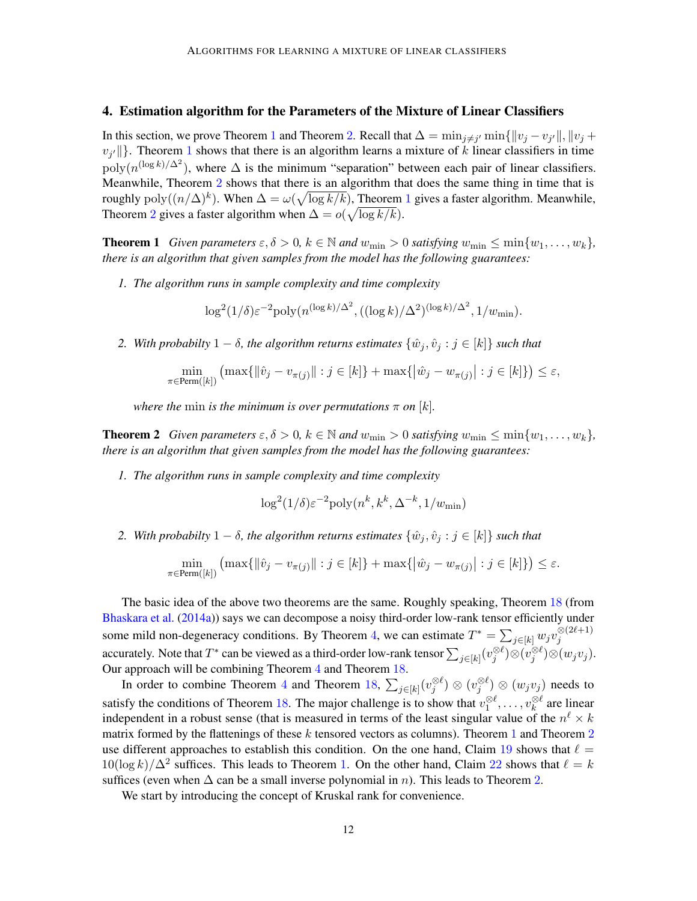## 4. Estimation algorithm for the Parameters of the Mixture of Linear Classifiers

In this section, we prove Theorem [1](#page-11-0) and Theorem [2](#page-11-1). Recall that  $\Delta = \min_{j \neq j'} \min \{ ||v_j - v_{j'}||, ||v_j + \}$  $v_{j'}$  }. Theorem [1](#page-11-0) shows that there is an algorithm learns a mixture of k linear classifiers in time  $poly(n^{(\log k)/\Delta^2})$ , where  $\Delta$  is the minimum "separation" between each pair of linear classifiers. Meanwhile, Theorem [2](#page-11-1) shows that there is an algorithm that does the same thing in time that is roughly  $\text{poly}((n/\Delta)^k)$ . When  $\Delta = \omega(\sqrt{\log k/k})$ , Theorem [1](#page-11-0) gives a faster algorithm. Meanwhile, Theorem [2](#page-11-1) gives a faster algorithm when  $\Delta = o(\sqrt{\log k/k})$ .

<span id="page-11-0"></span>**Theorem 1** *Given parameters*  $\varepsilon, \delta > 0$ ,  $k \in \mathbb{N}$  *and*  $w_{\min} > 0$  *satisfying*  $w_{\min} \leq \min\{w_1, \ldots, w_k\}$ , *there is an algorithm that given samples from the model has the following guarantees:*

*1. The algorithm runs in sample complexity and time complexity*

$$
\log^2(1/\delta) \varepsilon^{-2} \text{poly}(n^{(\log k)/\Delta^2}, ((\log k)/\Delta^2)^{(\log k)/\Delta^2}, 1/w_{\min}).
$$

*2. With probabilty*  $1 - \delta$ *, the algorithm returns estimates*  $\{\hat{w}_i, \hat{v}_i : j \in [k]\}$  *such that* 

$$
\min_{\pi \in \text{Perm}([k])} (\max\{\|\hat{v}_j - v_{\pi(j)}\| : j \in [k]\} + \max\{\big|\hat{w}_j - w_{\pi(j)}\big| : j \in [k]\}\) \le \varepsilon,
$$

*where the* min *is the minimum is over permutations*  $\pi$  *on* [k].

<span id="page-11-1"></span>**Theorem 2** *Given parameters*  $\varepsilon, \delta > 0$ ,  $k \in \mathbb{N}$  *and*  $w_{\min} > 0$  *satisfying*  $w_{\min} \leq \min\{w_1, \ldots, w_k\}$ , *there is an algorithm that given samples from the model has the following guarantees:*

*1. The algorithm runs in sample complexity and time complexity*

$$
\log^2(1/\delta)\varepsilon^{-2} \mathrm{poly}(n^k, k^k, \Delta^{-k}, 1/w_{\min})
$$

*2. With probabilty*  $1 - \delta$ *, the algorithm returns estimates*  $\{\hat{w}_j, \hat{v}_j : j \in [k]\}$  *such that* 

$$
\min_{\pi \in \text{Perm}([k])} (\max\{\|\hat{v}_j - v_{\pi(j)}\| : j \in [k]\} + \max\{\big|\hat{w}_j - w_{\pi(j)}\big| : j \in [k]\}\) \le \varepsilon.
$$

The basic idea of the above two theorems are the same. Roughly speaking, Theorem [18](#page-12-0) (from [Bhaskara et al.](#page-18-6) [\(2014a\)](#page-18-6)) says we can decompose a noisy third-order low-rank tensor efficiently under some mild non-degeneracy conditions. By Theorem [4](#page-6-2), we can estimate  $T^* = \sum_{j \in [k]} w_j v_j^{\otimes (2\ell+1)}$ j accurately. Note that  $T^*$  can be viewed as a third-order low-rank tensor  $\sum_{j\in[k]}(v_j^{\otimes \ell})\otimes (v_j^{\otimes \ell})\otimes (w_jv_j)$ . Our approach will be combining Theorem [4](#page-6-2) and Theorem [18](#page-12-0).

In order to combine Theorem [4](#page-6-2) and Theorem [18](#page-12-0),  $\sum_{j \in [k]} (v_j^{\otimes \ell}) \otimes (v_j^{\otimes \ell}) \otimes (wyv_j)$  needs to satisfy the conditions of Theorem [18](#page-12-0). The major challenge is to show that  $v_1^{\otimes \ell}, \ldots, v_k^{\otimes \ell}$  are linear independent in a robust sense (that is measured in terms of the least singular value of the  $n^{\ell} \times k$ matrix formed by the flattenings of these k tensored vectors as columns). Theorem [1](#page-11-0) and Theorem [2](#page-11-1) use different approaches to establish this condition. On the one hand, Claim [19](#page-12-1) shows that  $\ell =$  $10(\log k)/\Delta^2$  $10(\log k)/\Delta^2$  suffices. This leads to Theorem 1. On the other hand, Claim [22](#page-14-0) shows that  $\ell = k$ suffices (even when  $\Delta$  can be a small inverse polynomial in n). This leads to Theorem [2](#page-11-1).

We start by introducing the concept of Kruskal rank for convenience.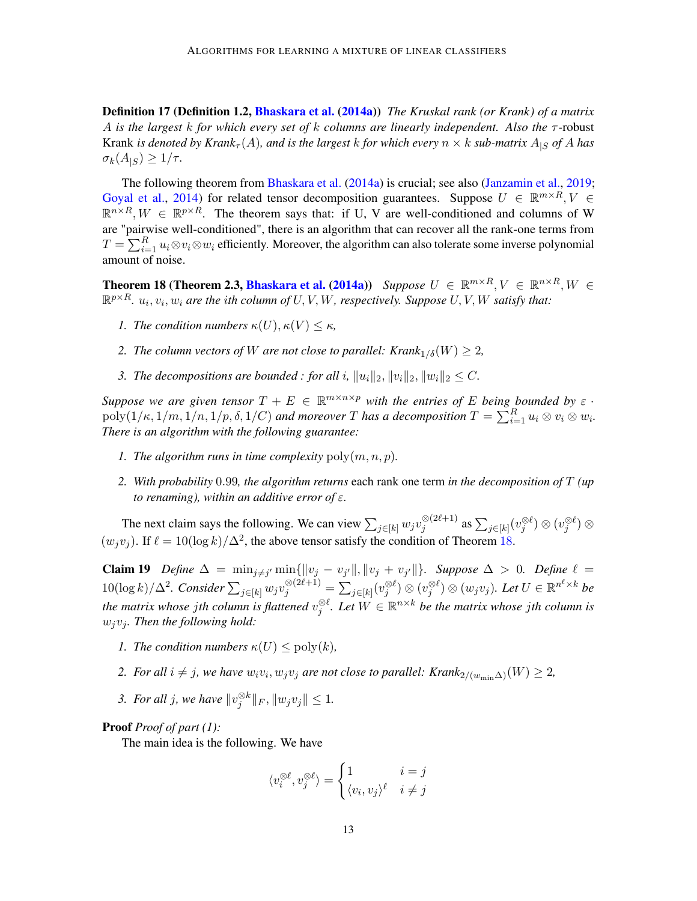Definition 17 (Definition 1.2, [Bhaskara et al.](#page-18-6) [\(2014a\)](#page-18-6)) *The Kruskal rank (or Krank) of a matrix* A is the largest k for which every set of k columns are linearly independent. Also the  $\tau$ -robust Krank *is denoted by Krank<sub>τ</sub>*(*A*), and is the largest *k* for which every  $n \times k$  sub-matrix  $A_{|S}$  of *A* has  $\sigma_k(A_{|S}) \geq 1/\tau$ .

The following theorem from [Bhaskara et al.](#page-18-6) [\(2014a\)](#page-18-6) is crucial; see also [\(Janzamin et al.,](#page-19-8) [2019;](#page-19-8) [Goyal et al.,](#page-19-11) [2014\)](#page-19-11) for related tensor decomposition guarantees. Suppose  $U \in \mathbb{R}^{m \times R}$ ,  $V \in$  $\mathbb{R}^{n \times R}$ ,  $W \in \mathbb{R}^{p \times R}$ . The theorem says that: if U, V are well-conditioned and columns of W are "pairwise well-conditioned", there is an algorithm that can recover all the rank-one terms from  $T = \sum_{i=1}^{R} u_i \otimes v_i \otimes w_i$  efficiently. Moreover, the algorithm can also tolerate some inverse polynomial amount of noise.

<span id="page-12-0"></span>**Theorem 18 (Theorem 2.3, [Bhaskara et al.](#page-18-6) [\(2014a\)](#page-18-6))** Suppose  $U \in \mathbb{R}^{m \times R}, V \in \mathbb{R}^{n \times R}, W \in$  $\mathbb{R}^{p \times R}$ .  $u_i, v_i, w_i$  are the ith column of  $U, V, W$ , respectively. Suppose  $U, V, W$  satisfy that:

- *1. The condition numbers*  $\kappa(U), \kappa(V) \leq \kappa$ ,
- *2. The column vectors of W* are not close to parallel: Krank<sub> $1/\delta$ </sub> $(W) \geq 2$ *,*
- *3. The decompositions are bounded : for all i,*  $||u_i||_2$ ,  $||v_i||_2$ ,  $||w_i||_2 \leq C$ .

*Suppose we are given tensor*  $T + E \in \mathbb{R}^{m \times n \times p}$  *with the entries of* E *being bounded by*  $\varepsilon$  ·  $\text{poly}(1/\kappa, 1/m, 1/n, 1/p, \delta, 1/C)$  and moreover  $T$  has a decomposition  $T = \sum_{i=1}^R u_i \otimes v_i \otimes w_i$ . *There is an algorithm with the following guarantee:*

- *1. The algorithm runs in time complexity*  $poly(m, n, p)$ *.*
- *2. With probability* 0.99*, the algorithm returns* each rank one term *in the decomposition of* T *(up to renaming), within an additive error of* ε*.*

The next claim says the following. We can view  $\sum_{j \in [k]} w_j v_j^{\otimes (2\ell+1)}$  $\frac{\otimes (2\ell+1)}{j}$  as  $\sum_{j \in [k]} (v_j^{\otimes \ell}) \otimes (v_j^{\otimes \ell}) \otimes$  $(w_j v_j)$ . If  $\ell = 10(\log k)/\Delta^2$ , the above tensor satisfy the condition of Theorem [18](#page-12-0).

<span id="page-12-1"></span>**Claim 19** *Define*  $\Delta = \min_{j \neq j'} \min\{||v_j - v_{j'}||, ||v_j + v_{j'}||\}$ *. Suppose*  $\Delta > 0$ *. Define*  $\ell =$  $10(\log k)/\Delta^2$ . Consider  $\sum_{j\in[k]} w_jv_j^{\otimes(2\ell+1)} = \sum_{j\in[k]} (v_j^{\otimes \ell})\otimes (v_j^{\otimes \ell})\otimes (w_jv_j)$ . Let  $U\in\mathbb{R}^{n^\ell\times k}$  be the matrix whose  $j$ th column is flattened  $v_j^{\otimes \ell}$ . Let  $W \in \mathbb{R}^{n \times k}$  be the matrix whose  $j$ th column is  $w_jv_j$ . Then the following hold:

- *1. The condition numbers*  $\kappa(U) \leq \text{poly}(k)$ ,
- 2. For all  $i \neq j$ , we have  $w_i v_i, w_j v_j$  are not close to parallel:  ${K}$ rank $_{2/(w_{\min} \Delta)}(W) \geq 2$ ,
- *3. For all j, we have*  $||v_j^{\otimes k}||_F$ ,  $||w_jv_j|| \leq 1$ .

# Proof *Proof of part (1):*

The main idea is the following. We have

$$
\langle v_i^{\otimes \ell}, v_j^{\otimes \ell} \rangle = \begin{cases} 1 & i = j \\ \langle v_i, v_j \rangle^{\ell} & i \neq j \end{cases}
$$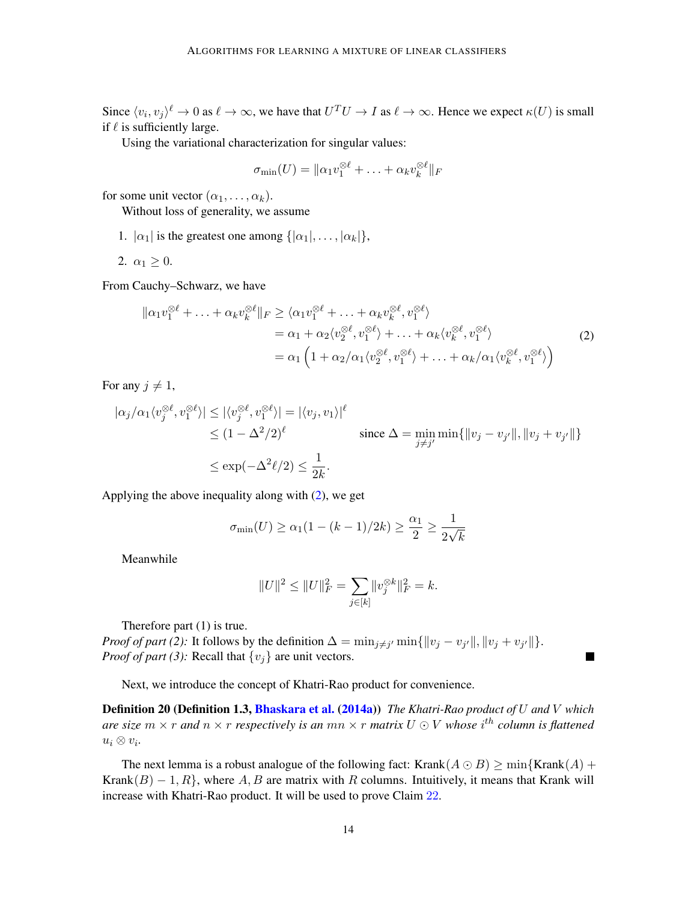Since  $\langle v_i, v_j \rangle^{\ell} \to 0$  as  $\ell \to \infty$ , we have that  $U^T U \to I$  as  $\ell \to \infty$ . Hence we expect  $\kappa(U)$  is small if  $\ell$  is sufficiently large.

Using the variational characterization for singular values:

<span id="page-13-0"></span>
$$
\sigma_{\min}(U) = \|\alpha_1 v_1^{\otimes \ell} + \ldots + \alpha_k v_k^{\otimes \ell}\|_F
$$

for some unit vector  $(\alpha_1, \ldots, \alpha_k)$ .

Without loss of generality, we assume

- 1.  $|\alpha_1|$  is the greatest one among  $\{|\alpha_1|, \ldots, |\alpha_k|\},\$
- 2.  $\alpha_1 \geq 0$ .

From Cauchy–Schwarz, we have

$$
\|\alpha_1 v_1^{\otimes \ell} + \ldots + \alpha_k v_k^{\otimes \ell}\|_F \ge \langle \alpha_1 v_1^{\otimes \ell} + \ldots + \alpha_k v_k^{\otimes \ell}, v_1^{\otimes \ell} \rangle
$$
  
\n
$$
= \alpha_1 + \alpha_2 \langle v_2^{\otimes \ell}, v_1^{\otimes \ell} \rangle + \ldots + \alpha_k \langle v_k^{\otimes \ell}, v_1^{\otimes \ell} \rangle
$$
  
\n
$$
= \alpha_1 \left(1 + \alpha_2/\alpha_1 \langle v_2^{\otimes \ell}, v_1^{\otimes \ell} \rangle + \ldots + \alpha_k/\alpha_1 \langle v_k^{\otimes \ell}, v_1^{\otimes \ell} \rangle\right)
$$
\n(2)

For any  $j \neq 1$ ,

$$
|\alpha_j/\alpha_1\langle v_j^{\otimes \ell}, v_1^{\otimes \ell}\rangle| \leq |\langle v_j^{\otimes \ell}, v_1^{\otimes \ell}\rangle| = |\langle v_j, v_1\rangle|^{\ell}
$$
  

$$
\leq (1 - \Delta^2/2)^{\ell} \qquad \text{since } \Delta = \min_{j \neq j'} \min\{\|v_j - v_{j'}\|, \|v_j + v_{j'}\|\}
$$
  

$$
\leq \exp(-\Delta^2 \ell/2) \leq \frac{1}{2k}.
$$

Applying the above inequality along with [\(2\)](#page-13-0), we get

$$
\sigma_{\min}(U) \ge \alpha_1(1 - (k - 1)/2k) \ge \frac{\alpha_1}{2} \ge \frac{1}{2\sqrt{k}}
$$

Meanwhile

$$
||U||^2 \le ||U||_F^2 = \sum_{j \in [k]} ||v_j^{\otimes k}||_F^2 = k.
$$

Therefore part (1) is true.

*Proof of part (2):* It follows by the definition  $\Delta = \min_{j \neq j'} \min \{ ||v_j - v_{j'}||, ||v_j + v_{j'}|| \}.$ *Proof of part (3):* Recall that  $\{v_i\}$  are unit vectors.

Next, we introduce the concept of Khatri-Rao product for convenience.

Definition 20 (Definition 1.3, [Bhaskara et al.](#page-18-6) [\(2014a\)](#page-18-6)) *The Khatri-Rao product of* U *and* V *which* are size  $m \times r$  and  $n \times r$  respectively is an  $mn \times r$  matrix  $U \odot V$  whose i<sup>th</sup> column is flattened  $u_i \otimes v_i$ .

<span id="page-13-1"></span>The next lemma is a robust analogue of the following fact: Krank( $A \odot B$ )  $\geq$  min{Krank( $A$ ) + Krank $(B) - 1, R$ , where A, B are matrix with R columns. Intuitively, it means that Krank will increase with Khatri-Rao product. It will be used to prove Claim [22](#page-14-0).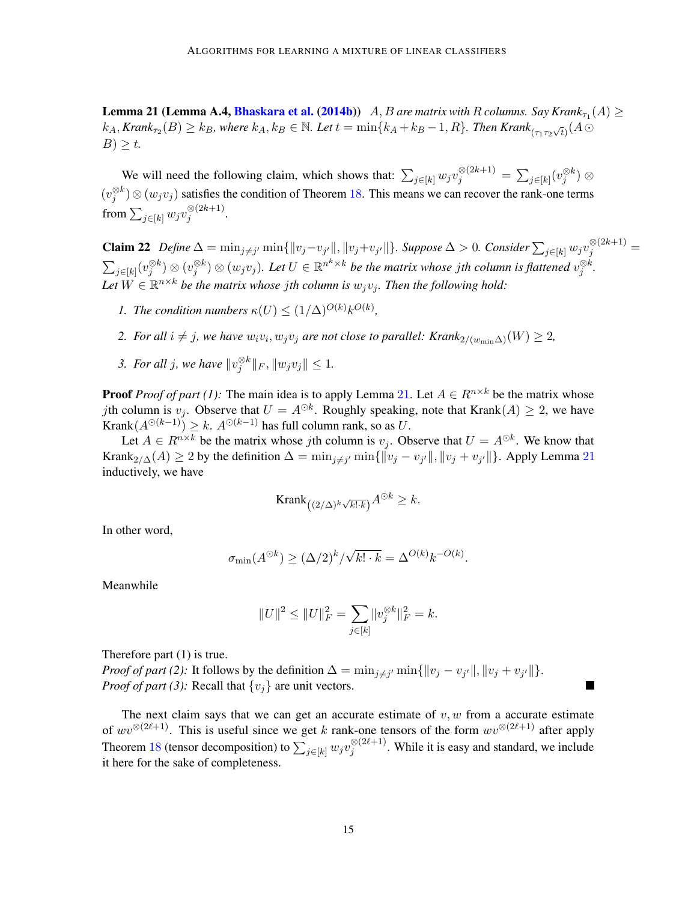**Lemma 21 (Lemma A.4,** *[Bhaskara et al.](#page-18-7) [\(2014b\)](#page-18-7)*  $A, B$  *are matrix with*  $R$  *columns. Say Krank*<sub> $\tau_1$ </sub> $(A) \ge$  $k_A$ ,  $Krank_{\tau_2}(B) \geq k_B$ , where  $k_A$ ,  $k_B \in \mathbb{N}$ . Let  $t = \min\{k_A + k_B - 1, R\}$ . Then  $Krank_{(\tau_1 \tau_2 \sqrt{t})}(A \odot B)$  $B) \geq t$ .

We will need the following claim, which shows that:  $\sum_{j \in [k]} w_j v_j^{\otimes (2k+1)} = \sum_{j \in [k]} (v_j^{\otimes k}) \otimes$  $(v_j^{\otimes k}) \otimes (w_j v_j)$  satisfies the condition of Theorem [18](#page-12-0). This means we can recover the rank-one terms from  $\sum_{j \in [k]} w_j v_j^{\otimes (2k+1)}$  $\frac{\otimes (2\kappa+1)}{j}$ .

<span id="page-14-0"></span>Claim 22 *Define*  $\Delta = \min_{j \neq j'} \min \{ ||v_j - v_{j'}||, ||v_j + v_{j'}|| \}$ . Suppose  $\Delta > 0$ . Consider  $\sum_{j \in [k]} w_j v_j^{\otimes (2k+1)} =$  $\sum_{j\in[k]}(v_j^{\otimes k})\otimes(v_j^{\otimes k})\otimes (w_jv_j)$ . Let  $U\in\mathbb{R}^{n^k\times k}$  be the matrix whose jth column is flattened  $v_j^{\otimes k}$ . Let  $W \in \mathbb{R}^{n \times k}$  be the matrix whose jth column is  $w_j v_j$ . Then the following hold:

- *1. The condition numbers*  $\kappa(U) \leq (1/\Delta)^{O(k)} k^{O(k)}$ ,
- 2. *For all*  $i \neq j$ *, we have*  $w_i v_i, w_j v_j$  *are not close to parallel: Krank*<sub>2/( $w_{\min} \Delta$ )( $W$ )  $\geq 2$ ,</sub>
- *3. For all j, we have*  $||v_j^{\otimes k}||_F$ ,  $||w_jv_j|| \leq 1$ .

**Proof** *Proof of part (1):* The main idea is to apply Lemma [21](#page-13-1). Let  $A \in R^{n \times k}$  be the matrix whose *j*th column is  $v_j$ . Observe that  $U = A^{\odot k}$ . Roughly speaking, note that Krank $(A) \geq 2$ , we have Krank $(A^{\odot (k-1)}) \geq k$ .  $A^{\odot (k-1)}$  has full column rank, so as U.

Let  $A \in R^{n \times k}$  be the matrix whose jth column is  $v_j$ . Observe that  $U = A^{\odot k}$ . We know that Krank $_{2/\Delta}(A) \ge 2$  by the definition  $\Delta = \min_{j \ne j'} \min \{||v_j - v_{j'}||, ||v_j + v_{j'}||\}$ . Apply Lemma [21](#page-13-1) inductively, we have

$$
\text{Krank}_{\left((2/\Delta)^k \sqrt{k! \cdot k}\right)} A^{\odot k} \ge k.
$$

In other word,

$$
\sigma_{\min}(A^{\odot k}) \ge (\Delta/2)^k / \sqrt{k! \cdot k} = \Delta^{O(k)} k^{-O(k)}.
$$

Meanwhile

$$
||U||^2 \le ||U||_F^2 = \sum_{j \in [k]} ||v_j^{\otimes k}||_F^2 = k.
$$

Therefore part (1) is true.

*Proof of part (2):* It follows by the definition  $\Delta = \min_{j \neq j'} \min \{ ||v_j - v_{j'}||, ||v_j + v_{j'}|| \}.$ *Proof of part (3):* Recall that  $\{v_i\}$  are unit vectors.

<span id="page-14-1"></span>The next claim says that we can get an accurate estimate of  $v, w$  from a accurate estimate of  $wv^{\otimes (2\ell+1)}$ . This is useful since we get k rank-one tensors of the form  $wv^{\otimes (2\ell+1)}$  after apply Theorem [18](#page-12-0) (tensor decomposition) to  $\sum_{j \in [k]} w_j v_j^{\otimes (2\ell+1)}$  $j^{(\mathcal{U}(\mathcal{U}+1))}$ . While it is easy and standard, we include it here for the sake of completeness.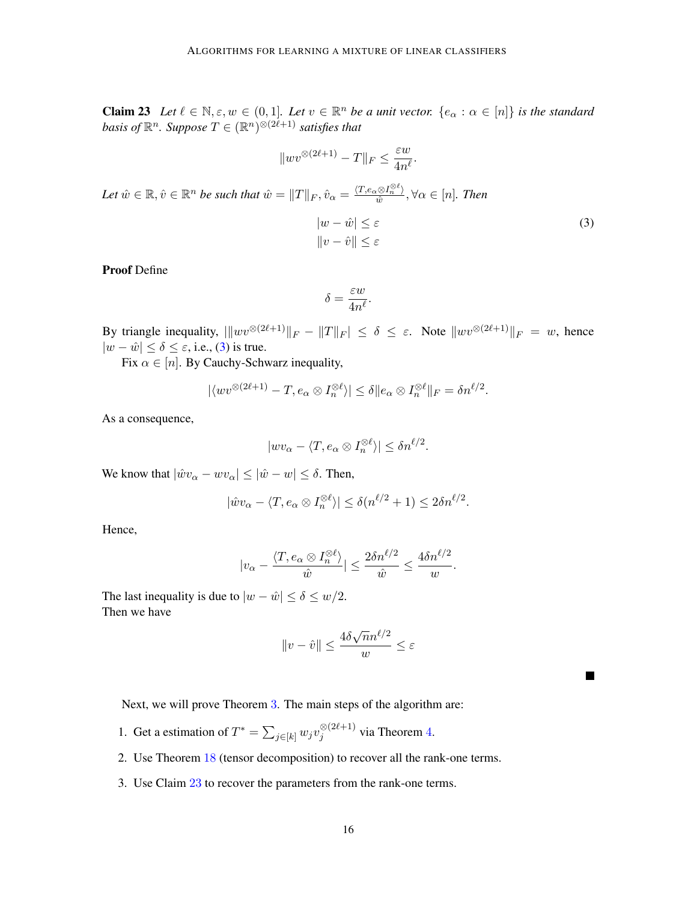**Claim 23** Let  $\ell \in \mathbb{N}, \varepsilon, w \in (0, 1]$ . Let  $v \in \mathbb{R}^n$  be a unit vector.  $\{e_\alpha : \alpha \in [n]\}$  is the standard basis of  $\mathbb{R}^n$ . Suppose  $T \in (\mathbb{R}^n)^{\otimes (2\tilde{\ell}+1)}$  satisfies that

$$
||w v^{\otimes (2\ell+1)} - T||_F \le \frac{\varepsilon w}{4n^{\ell}}.
$$
  

$$
\hat{w} \in \mathbb{R}, \hat{v} \in \mathbb{R}^n \text{ be such that } \hat{w} = ||T||_F, \hat{v}_{\alpha} = \frac{\langle T, e_{\alpha} \otimes I_n^{\otimes \ell} \rangle}{\hat{w}}, \forall \alpha \in [n]. \text{ Then}
$$

$$
|w - \hat{w}| \le \varepsilon
$$

$$
||v - \hat{v}|| \le \varepsilon
$$
(3)

Proof Define

 $Let$ 

<span id="page-15-1"></span>
$$
\delta = \frac{\varepsilon w}{4n^{\ell}}.
$$

By triangle inequality,  $\|wv^{\otimes(2\ell+1)}\|_F - \|T\|_F \le \delta \le \varepsilon$ . Note  $\|wv^{\otimes(2\ell+1)}\|_F = w$ , hence  $|w - \hat{w}| \le \delta \le \varepsilon$ , i.e., [\(3\)](#page-15-1) is true.

Fix  $\alpha \in [n]$ . By Cauchy-Schwarz inequality,

$$
|\langle wv^{\otimes(2\ell+1)} - T, e_\alpha \otimes I_n^{\otimes \ell} \rangle| \leq \delta \|e_\alpha \otimes I_n^{\otimes \ell}\|_F = \delta n^{\ell/2}.
$$

As a consequence,

$$
|wv_{\alpha} - \langle T, e_{\alpha} \otimes I_n^{\otimes \ell} \rangle| \leq \delta n^{\ell/2}.
$$

We know that  $|\hat{w}v_{\alpha} - wv_{\alpha}| \leq |\hat{w} - w| \leq \delta$ . Then,

$$
|\hat{w}v_{\alpha} - \langle T, e_{\alpha} \otimes I_n^{\otimes \ell} \rangle| \leq \delta(n^{\ell/2} + 1) \leq 2\delta n^{\ell/2}.
$$

Hence,

$$
|v_{\alpha}-\frac{\langle T,e_{\alpha}\otimes I_n^{\otimes \ell}\rangle}{\hat{w}}|\leq \frac{2\delta n^{\ell/2}}{\hat{w}}\leq \frac{4\delta n^{\ell/2}}{w}.
$$

The last inequality is due to  $|w - \hat{w}| \le \delta \le w/2$ . Then we have

$$
\|v-\hat{v}\|\leq \frac{4\delta\sqrt{n}n^{\ell/2}}{w}\leq \varepsilon
$$

 $\blacksquare$ 

Next, we will prove Theorem [3](#page-15-0). The main steps of the algorithm are:

- 1. Get a estimation of  $T^* = \sum_{j \in [k]} w_j v_j^{\otimes (2\ell+1)}$  $j^{(2\ell+1)}$  via Theorem [4](#page-6-2).
- 2. Use Theorem [18](#page-12-0) (tensor decomposition) to recover all the rank-one terms.
- <span id="page-15-0"></span>3. Use Claim [23](#page-14-1) to recover the parameters from the rank-one terms.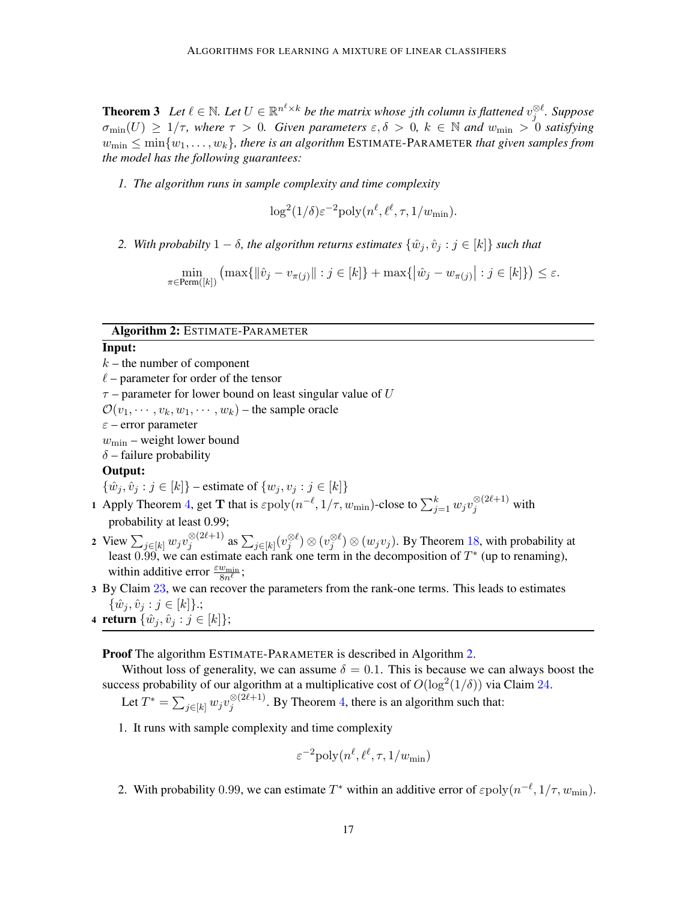**Theorem 3** Let  $\ell \in \mathbb{N}$ . Let  $U \in \mathbb{R}^{n^{\ell} \times k}$  be the matrix whose jth column is flattened  $v_j^{\otimes \ell}$ . Suppose  $\sigma_{\min}(U) \geq 1/\tau$ , where  $\tau > 0$ . Given parameters  $\varepsilon, \delta > 0$ ,  $k \in \mathbb{N}$  and  $w_{\min} > 0$  satisfying  $w_{\min} \leq \min\{w_1, \ldots, w_k\}$ , there is an algorithm ESTIMATE-PARAMETER that given samples from *the model has the following guarantees:*

*1. The algorithm runs in sample complexity and time complexity*

$$
\log^2(1/\delta) \varepsilon^{-2} \mathrm{poly}(n^{\ell}, \ell^{\ell}, \tau, 1/w_{\min}).
$$

*2. With probabilty*  $1 - \delta$ *, the algorithm returns estimates*  $\{\hat{w}_i, \hat{v}_j : j \in [k]\}$  *such that* 

 $\min_{\pi \in \text{Perm}([k])}$  $\left(\max\{\|\hat{v}_j - v_{\pi(j)}\| : j \in [k]\} + \max\{\left|\hat{w}_j - w_{\pi(j)}\right| : j \in [k]\}\right) \leq \varepsilon.$ 

## <span id="page-16-0"></span>Algorithm 2: ESTIMATE-PARAMETER

#### Input:

- $k$  the number of component
- $\ell$  parameter for order of the tensor

 $\tau$  – parameter for lower bound on least singular value of U

 $\mathcal{O}(v_1, \dots, v_k, w_1, \dots, w_k)$  – the sample oracle

 $\varepsilon$  – error parameter

 $w_{\text{min}}$  – weight lower bound

 $\delta$  – failure probability

#### Output:

 $\{\hat{w}_j, \hat{v}_j : j \in [k]\}$  – estimate of  $\{w_j, v_j : j \in [k]\}$ 

- 1 Apply Theorem [4](#page-6-2), get **T** that is  $\varepsilon$ poly $(n^{-\ell}, 1/\tau, w_{\min})$ -close to  $\sum_{j=1}^{k} w_j v_j^{\otimes (2\ell+1)}$  with probability at least 0.99;
- 2 View  $\sum_{j \in [k]} w_j v_j^{\otimes (2\ell+1)}$  $\int_j^{\otimes(2\ell+1)}$  as  $\sum_{j\in[k]}(v_j^{\otimes \ell})\otimes(v_j^{\otimes \ell})\otimes(w_jv_j)$ . By Theorem [18](#page-12-0), with probability at least 0.99, we can estimate each rank one term in the decomposition of  $T^*$  (up to renaming), within additive error  $\frac{\varepsilon w_{\min}}{8n^{\ell}}$ ;
- 3 By Claim [23](#page-14-1), we can recover the parameters from the rank-one terms. This leads to estimates  $\{\hat{w}_j, \hat{v}_j : j \in [k]\};$
- 4 return  $\{\hat{w}_j, \hat{v}_j : j \in [k]\};$

Proof The algorithm ESTIMATE-PARAMETER is described in Algorithm [2.](#page-16-0)

Without loss of generality, we can assume  $\delta = 0.1$ . This is because we can always boost the success probability of our algorithm at a multiplicative cost of  $O(\log^2(1/\delta))$  via Claim [24](#page-20-6).

Let  $T^*=\sum_{j\in[k]}w_jv_j^{\otimes(2\ell+1)}$  $j^{(2\ell+1)}$ . By Theorem [4](#page-6-2), there is an algorithm such that:

1. It runs with sample complexity and time complexity

$$
\varepsilon^{-2} \text{poly}(n^{\ell}, \ell^{\ell}, \tau, 1/w_{\min})
$$

2. With probability 0.99, we can estimate  $T^*$  within an additive error of  $\varepsilon$ poly $(n^{-\ell}, 1/\tau, w_{\min})$ .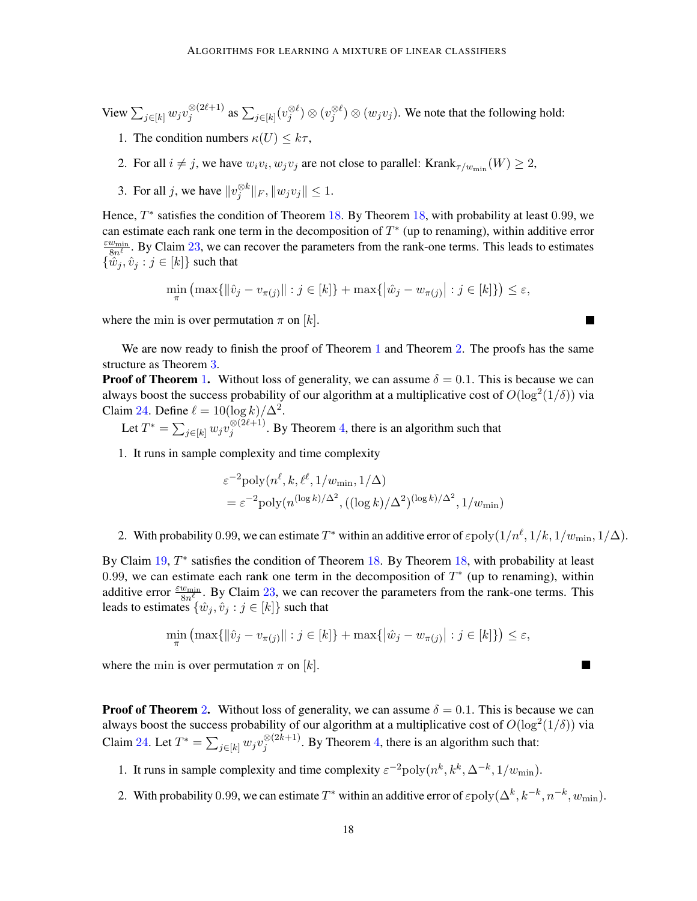View  $\sum_{j \in [k]} w_j v_j^{\otimes (2\ell+1)}$  $\int_j^{\otimes (2\ell+1)}$  as  $\sum_{j \in [k]} (v_j^{\otimes \ell}) \otimes (v_j^{\otimes \ell}) \otimes (w_j v_j)$ . We note that the following hold:

- 1. The condition numbers  $\kappa(U) \leq k\tau$ ,
- 2. For all  $i \neq j$ , we have  $w_i v_i, w_j v_j$  are not close to parallel: Krank $_{\tau/w_{\text{min}}}(W) \geq 2$ ,
- 3. For all j, we have  $||v_j^{\otimes k}||_F$ ,  $||w_jv_j|| \leq 1$ .

Hence,  $T^*$  satisfies the condition of Theorem [18](#page-12-0). By Theorem 18, with probability at least 0.99, we can estimate each rank one term in the decomposition of  $T^*$  (up to renaming), within additive error  $\varepsilon w_{\rm min}$  $\frac{w_{\min}}{8n^{\ell}}$ . By Claim [23](#page-14-1), we can recover the parameters from the rank-one terms. This leads to estimates  $\{\hat{w}_j, \hat{v}_j : j \in [k]\}\$  such that

$$
\min_{\pi} \left( \max \{ \|\hat{v}_j - v_{\pi(j)}\| : j \in [k] \} + \max \{ |\hat{w}_j - w_{\pi(j)}| : j \in [k] \} \right) \le \varepsilon,
$$

where the min is over permutation  $\pi$  on [k].

We are now ready to finish the proof of Theorem [1](#page-11-0) and Theorem [2](#page-11-1). The proofs has the same structure as Theorem [3](#page-15-0).

**Proof of Theorem [1](#page-11-0).** Without loss of generality, we can assume  $\delta = 0.1$ . This is because we can always boost the success probability of our algorithm at a multiplicative cost of  $O(\log^2(1/\delta))$  via Claim [24](#page-20-6). Define  $\ell = 10(\log k)/\Delta^2$ .

Let  $T^*=\sum_{j\in[k]}w_jv_j^{\otimes(2\ell+1)}$  $j_j^{\otimes(2\ell+1)}$ . By Theorem [4](#page-6-2), there is an algorithm such that

1. It runs in sample complexity and time complexity

$$
\varepsilon^{-2} \text{poly}(n^{\ell}, k, \ell^{\ell}, 1/w_{\text{min}}, 1/\Delta)
$$
  
=  $\varepsilon^{-2} \text{poly}(n^{(\log k)/\Delta^2}, ((\log k)/\Delta^2)^{(\log k)/\Delta^2}, 1/w_{\text{min}})$ 

2. With probability 0.99, we can estimate  $T^*$  within an additive error of  $\varepsilon$ poly $(1/n^{\ell}, 1/k, 1/w_{\min}, 1/\Delta)$ .

By Claim  $19$ ,  $T^*$  satisfies the condition of Theorem [18](#page-12-0). By Theorem 18, with probability at least 0.99, we can estimate each rank one term in the decomposition of  $T^*$  (up to renaming), within additive error  $\frac{\varepsilon w_{\min}}{8n^{\ell}}$ . By Claim [23](#page-14-1), we can recover the parameters from the rank-one terms. This leads to estimates  $\{\hat{w}_j, \hat{v}_j : j \in [k]\}$  such that

$$
\min_{\pi} \left( \max \{ \|\hat{v}_j - v_{\pi(j)}\| : j \in [k] \} + \max \{ |\hat{w}_j - w_{\pi(j)}| : j \in [k] \} \right) \le \varepsilon,
$$

where the min is over permutation  $\pi$  on  $[k]$ .

**Proof of Theorem [2](#page-11-1).** Without loss of generality, we can assume  $\delta = 0.1$ . This is because we can always boost the success probability of our algorithm at a multiplicative cost of  $O(\log^2(1/\delta))$  via Claim [24](#page-20-6). Let  $T^* = \sum_{j \in [k]} w_j v_j^{\otimes (2k+1)}$  $j^{(\mathcal{Z}K+1)}$ . By Theorem [4](#page-6-2), there is an algorithm such that:

- 1. It runs in sample complexity and time complexity  $\varepsilon^{-2}$  poly $(n^k, k^k, \Delta^{-k}, 1/w_{\min}).$
- 2. With probability 0.99, we can estimate  $T^*$  within an additive error of  $\varepsilon$ poly $(\Delta^k, k^{-k}, n^{-k}, w_{\min})$ .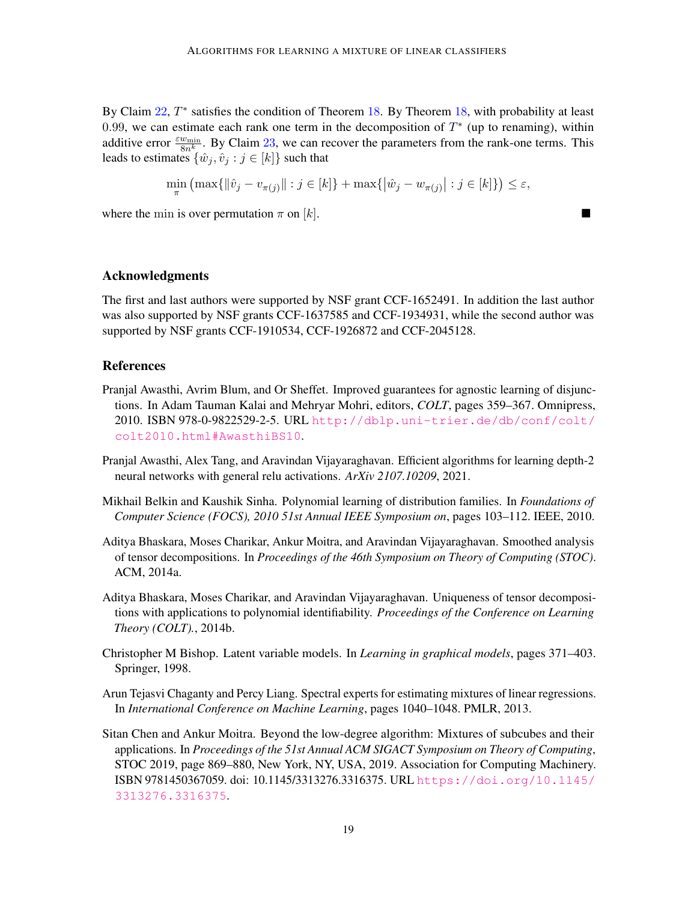By Claim  $22$ ,  $T^*$  satisfies the condition of Theorem [18](#page-12-0). By Theorem 18, with probability at least 0.99, we can estimate each rank one term in the decomposition of  $T^*$  (up to renaming), within additive error  $\frac{\varepsilon w_{\min}}{8n^k}$ . By Claim [23](#page-14-1), we can recover the parameters from the rank-one terms. This leads to estimates  $\{\hat{w}_i, \hat{v}_j : j \in [k]\}$  such that

$$
\min_{\pi} \left( \max \{ \|\hat{v}_j - v_{\pi(j)}\| : j \in [k] \} + \max \{ |\hat{w}_j - w_{\pi(j)}| : j \in [k] \} \right) \le \varepsilon,
$$

where the min is over permutation  $\pi$  on  $[k]$ .

# Acknowledgments

The first and last authors were supported by NSF grant CCF-1652491. In addition the last author was also supported by NSF grants CCF-1637585 and CCF-1934931, while the second author was supported by NSF grants CCF-1910534, CCF-1926872 and CCF-2045128.

## References

- <span id="page-18-1"></span>Pranjal Awasthi, Avrim Blum, and Or Sheffet. Improved guarantees for agnostic learning of disjunctions. In Adam Tauman Kalai and Mehryar Mohri, editors, *COLT*, pages 359–367. Omnipress, 2010. ISBN 978-0-9822529-2-5. URL [http://dblp.uni-trier.de/db/conf/colt/](http://dblp.uni-trier.de/db/conf/colt/colt2010.html#AwasthiBS10) [colt2010.html#AwasthiBS10](http://dblp.uni-trier.de/db/conf/colt/colt2010.html#AwasthiBS10).
- <span id="page-18-5"></span>Pranjal Awasthi, Alex Tang, and Aravindan Vijayaraghavan. Efficient algorithms for learning depth-2 neural networks with general relu activations. *ArXiv 2107.10209*, 2021.
- <span id="page-18-0"></span>Mikhail Belkin and Kaushik Sinha. Polynomial learning of distribution families. In *Foundations of Computer Science (FOCS), 2010 51st Annual IEEE Symposium on*, pages 103–112. IEEE, 2010.
- <span id="page-18-6"></span>Aditya Bhaskara, Moses Charikar, Ankur Moitra, and Aravindan Vijayaraghavan. Smoothed analysis of tensor decompositions. In *Proceedings of the 46th Symposium on Theory of Computing (STOC)*. ACM, 2014a.
- <span id="page-18-7"></span>Aditya Bhaskara, Moses Charikar, and Aravindan Vijayaraghavan. Uniqueness of tensor decompositions with applications to polynomial identifiability. *Proceedings of the Conference on Learning Theory (COLT).*, 2014b.
- <span id="page-18-4"></span>Christopher M Bishop. Latent variable models. In *Learning in graphical models*, pages 371–403. Springer, 1998.
- <span id="page-18-3"></span>Arun Tejasvi Chaganty and Percy Liang. Spectral experts for estimating mixtures of linear regressions. In *International Conference on Machine Learning*, pages 1040–1048. PMLR, 2013.
- <span id="page-18-2"></span>Sitan Chen and Ankur Moitra. Beyond the low-degree algorithm: Mixtures of subcubes and their applications. In *Proceedings of the 51st Annual ACM SIGACT Symposium on Theory of Computing*, STOC 2019, page 869–880, New York, NY, USA, 2019. Association for Computing Machinery. ISBN 9781450367059. doi: 10.1145/3313276.3316375. URL [https://doi.org/10.1145/](https://doi.org/10.1145/3313276.3316375) [3313276.3316375](https://doi.org/10.1145/3313276.3316375).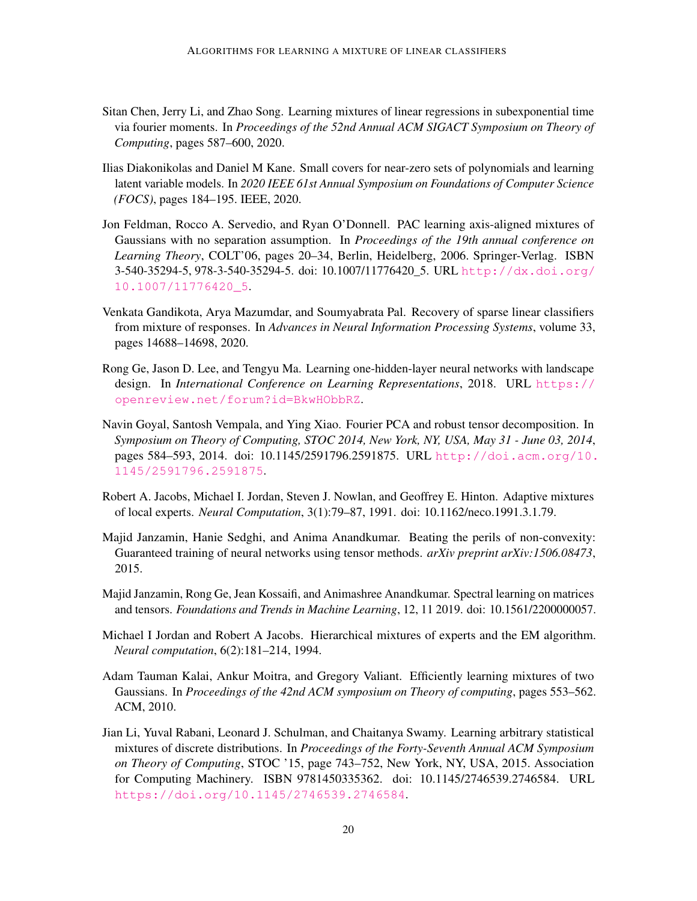- <span id="page-19-3"></span>Sitan Chen, Jerry Li, and Zhao Song. Learning mixtures of linear regressions in subexponential time via fourier moments. In *Proceedings of the 52nd Annual ACM SIGACT Symposium on Theory of Computing*, pages 587–600, 2020.
- <span id="page-19-5"></span>Ilias Diakonikolas and Daniel M Kane. Small covers for near-zero sets of polynomials and learning latent variable models. In *2020 IEEE 61st Annual Symposium on Foundations of Computer Science (FOCS)*, pages 184–195. IEEE, 2020.
- <span id="page-19-0"></span>Jon Feldman, Rocco A. Servedio, and Ryan O'Donnell. PAC learning axis-aligned mixtures of Gaussians with no separation assumption. In *Proceedings of the 19th annual conference on Learning Theory*, COLT'06, pages 20–34, Berlin, Heidelberg, 2006. Springer-Verlag. ISBN 3-540-35294-5, 978-3-540-35294-5. doi: 10.1007/11776420\_5. URL [http://dx.doi.org/](http://dx.doi.org/10.1007/11776420_5) [10.1007/11776420\\_5](http://dx.doi.org/10.1007/11776420_5).
- <span id="page-19-4"></span>Venkata Gandikota, Arya Mazumdar, and Soumyabrata Pal. Recovery of sparse linear classifiers from mixture of responses. In *Advances in Neural Information Processing Systems*, volume 33, pages 14688–14698, 2020.
- <span id="page-19-10"></span>Rong Ge, Jason D. Lee, and Tengyu Ma. Learning one-hidden-layer neural networks with landscape design. In *International Conference on Learning Representations*, 2018. URL [https://](https://openreview.net/forum?id=BkwHObbRZ) [openreview.net/forum?id=BkwHObbRZ](https://openreview.net/forum?id=BkwHObbRZ).
- <span id="page-19-11"></span>Navin Goyal, Santosh Vempala, and Ying Xiao. Fourier PCA and robust tensor decomposition. In *Symposium on Theory of Computing, STOC 2014, New York, NY, USA, May 31 - June 03, 2014*, pages 584–593, 2014. doi: 10.1145/2591796.2591875. URL [http://doi.acm.org/10.](http://doi.acm.org/10.1145/2591796.2591875) [1145/2591796.2591875](http://doi.acm.org/10.1145/2591796.2591875).
- <span id="page-19-6"></span>Robert A. Jacobs, Michael I. Jordan, Steven J. Nowlan, and Geoffrey E. Hinton. Adaptive mixtures of local experts. *Neural Computation*, 3(1):79–87, 1991. doi: 10.1162/neco.1991.3.1.79.
- <span id="page-19-9"></span>Majid Janzamin, Hanie Sedghi, and Anima Anandkumar. Beating the perils of non-convexity: Guaranteed training of neural networks using tensor methods. *arXiv preprint arXiv:1506.08473*, 2015.
- <span id="page-19-8"></span>Majid Janzamin, Rong Ge, Jean Kossaifi, and Animashree Anandkumar. Spectral learning on matrices and tensors. *Foundations and Trends in Machine Learning*, 12, 11 2019. doi: 10.1561/2200000057.
- <span id="page-19-7"></span>Michael I Jordan and Robert A Jacobs. Hierarchical mixtures of experts and the EM algorithm. *Neural computation*, 6(2):181–214, 1994.
- <span id="page-19-1"></span>Adam Tauman Kalai, Ankur Moitra, and Gregory Valiant. Efficiently learning mixtures of two Gaussians. In *Proceedings of the 42nd ACM symposium on Theory of computing*, pages 553–562. ACM, 2010.
- <span id="page-19-2"></span>Jian Li, Yuval Rabani, Leonard J. Schulman, and Chaitanya Swamy. Learning arbitrary statistical mixtures of discrete distributions. In *Proceedings of the Forty-Seventh Annual ACM Symposium on Theory of Computing*, STOC '15, page 743–752, New York, NY, USA, 2015. Association for Computing Machinery. ISBN 9781450335362. doi: 10.1145/2746539.2746584. URL <https://doi.org/10.1145/2746539.2746584>.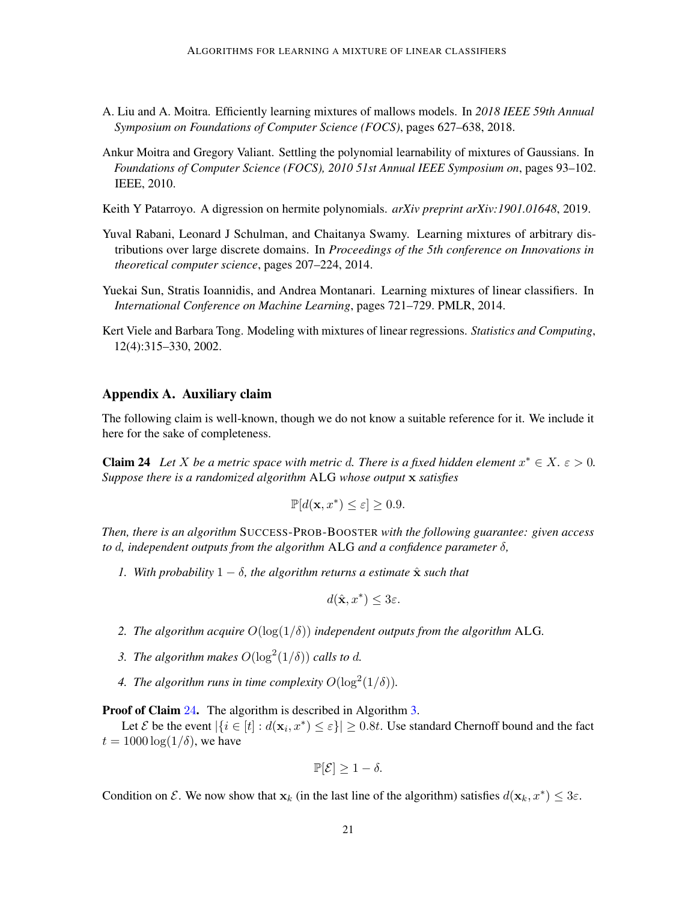- <span id="page-20-2"></span>A. Liu and A. Moitra. Efficiently learning mixtures of mallows models. In *2018 IEEE 59th Annual Symposium on Foundations of Computer Science (FOCS)*, pages 627–638, 2018.
- <span id="page-20-0"></span>Ankur Moitra and Gregory Valiant. Settling the polynomial learnability of mixtures of Gaussians. In *Foundations of Computer Science (FOCS), 2010 51st Annual IEEE Symposium on*, pages 93–102. IEEE, 2010.
- <span id="page-20-5"></span>Keith Y Patarroyo. A digression on hermite polynomials. *arXiv preprint arXiv:1901.01648*, 2019.
- <span id="page-20-1"></span>Yuval Rabani, Leonard J Schulman, and Chaitanya Swamy. Learning mixtures of arbitrary distributions over large discrete domains. In *Proceedings of the 5th conference on Innovations in theoretical computer science*, pages 207–224, 2014.
- <span id="page-20-4"></span>Yuekai Sun, Stratis Ioannidis, and Andrea Montanari. Learning mixtures of linear classifiers. In *International Conference on Machine Learning*, pages 721–729. PMLR, 2014.
- <span id="page-20-3"></span>Kert Viele and Barbara Tong. Modeling with mixtures of linear regressions. *Statistics and Computing*, 12(4):315–330, 2002.

#### Appendix A. Auxiliary claim

The following claim is well-known, though we do not know a suitable reference for it. We include it here for the sake of completeness.

<span id="page-20-6"></span>**Claim 24** Let X be a metric space with metric d. There is a fixed hidden element  $x^* \in X$ .  $\varepsilon > 0$ . *Suppose there is a randomized algorithm* ALG *whose output* x *satisfies*

$$
\mathbb{P}[d(\mathbf{x}, x^*) \le \varepsilon] \ge 0.9.
$$

*Then, there is an algorithm* SUCCESS-PROB-BOOSTER *with the following guarantee: given access to* d*, independent outputs from the algorithm* ALG *and a confidence parameter* δ*,*

*1.* With probability  $1 - \delta$ , the algorithm returns a estimate  $\hat{\mathbf{x}}$  such that

$$
d(\hat{\mathbf{x}}, x^*) \leq 3\varepsilon.
$$

- *2. The algorithm acquire*  $O(\log(1/\delta))$  *independent outputs from the algorithm ALG.*
- 3. The algorithm makes  $O(\log^2(1/\delta))$  calls to d.
- 4. The algorithm runs in time complexity  $O(\log^2(1/\delta))$ .

<span id="page-20-7"></span>Proof of Claim [24](#page-20-6). The algorithm is described in Algorithm [3.](#page-20-7)

Let  $\mathcal E$  be the event  $|\{i \in [t]: d(\mathbf x_i, x^*) \leq \varepsilon\}| \geq 0.8t$ . Use standard Chernoff bound and the fact  $t = 1000 \log(1/\delta)$ , we have

$$
\mathbb{P}[\mathcal{E}] \ge 1 - \delta.
$$

Condition on  $\mathcal E$ . We now show that  $\mathbf x_k$  (in the last line of the algorithm) satisfies  $d(\mathbf x_k, x^*) \leq 3\varepsilon$ .